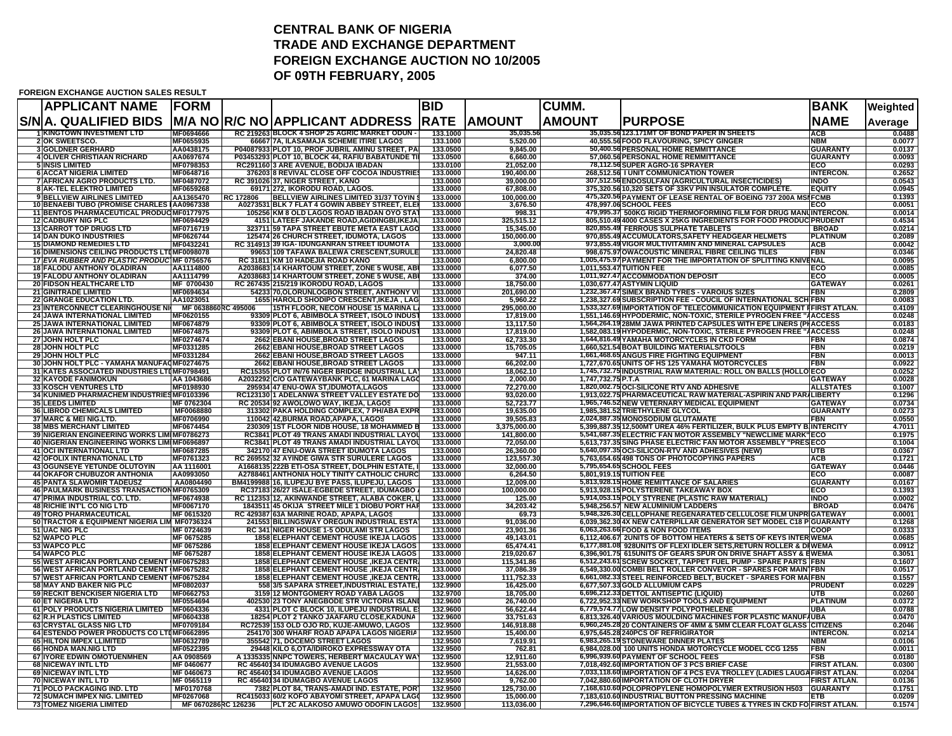## **CENTRAL BANK OF NIGERIATRADE AND EXCHANGE DEPARTMENT FOREIGN EXCHANGE AUCTION NO 10/2005 OF 09TH FEBRUARY, 2005**

## **FOREIGN EXCHANGE AUCTION SALES RESULT**

| <b>APPLICANT NAME</b><br>S/N A. QUALIFIED BIDS<br><b>M/A NOR/C NO APPLICANT ADDRESS</b><br><b>AMOUNT</b><br><b>RATE</b><br><b>AMOUNT</b><br><b>PURPOSE</b><br>MF0694666<br><b>1 KINGTOWN INVESTMENT LTD</b><br>RC 219263 BLOCK 4 SHOP 25 AGRIC MARKET ODUN -<br>35,035.56123.171MT OF BOND PAPER IN SHEETS<br>133.1000<br>35,035.56<br>MF0655935<br>66667 7A, ILASAMAJA SCHEME ITIRE LAGOS<br>40,555.56 FOOD FLAVOURING, SPICY GINGER<br><b>2 OK SWEETSCO.</b><br>133.1000<br>5,520.00<br>P04087933 PLOT 10, PROF JUBRIL AMINU STREET, PA<br><b>3 GOLDNER GERHARD</b><br>AA0438175<br>50,400.56 PERSONAL HOME REMMITTANCE<br>133.0500<br>9,845.00<br>4 OLIVER CHRISTIAAN RICHARD<br>P03453293 PLOT 10, BLOCK 44, RAFIU BABATUNDE TII<br>133.0500<br>57,060.56 PERSONAL HOME REMMITTANCE<br>AA0697674<br>6,660.00<br>MF0798353<br>RC291160 3 ARE AVENUE, BODIJA IBADAN<br>133.0100<br>21,052.00<br>78,112.56 SUPER AGRO-16 SPRAYER<br><b>5 INSIS LIMITED</b><br><b>6 ACCAT NIGERIA LIMITED</b><br>MF0648716<br>376203 8 REVIVAL CLOSE OFF COCOA INDUSTRIES<br>133.0000<br>190,400.00<br>268,512.56 I UNIT COMMUNICATION TOWER<br><b>7 AFRICAN AGRO PRODUCTS LTD.</b><br>MF0487072<br>133.0000<br>39.000.00<br>RC 391026 37, NIGER STREET, KANO<br>307,512.56 ENDOSULFAN (AGRICULTURAL INSECTICIDES)<br><b>8IAK-TEL ELEKTRO LIMITED</b><br>MF0659268<br>69171 272. IKORODU ROAD, LAGOS.<br>133.0000<br>67.808.00<br>375,320.5610,320 SETS OF 33KV PIN INSULATOR COMPLETE.<br>9 BELLVIEW AIRLINES LIMITED<br><b>BELLVIEW AIRLINES LIMITED 31/37 TOYIN</b><br>475,320.56 PAYMENT OF LEASE RENTAL OF BOEING 737 200A MSI FCMB<br>AA1365470<br>RC 172806<br>133.0000<br>100.000.00<br>478,997.06 SCHOOL FEES<br>10 BENAEBI TUBO (PROMISE CHARLES I AA0967338<br>A0273531 BLK 7 FLAT 4 GOWIN ABBEY STREET, ELE<br>133.0000<br>3,676.50<br>11 BENTOS PHARMACEUTICAL PRODUC MF0177975<br>998.31<br><u>479,995.37 500KG RIGID THERMOFORMING FILM FOR DRUG MANUINTERCON</u><br><u>105256 KM 8 OLD LAGOS ROAD IBADAN OYO STAT</u><br>133.0000<br>325,515.12<br>805,510.49 4000 CASES X 25KG INGREDIENTS FOR FOOD PRODUC PRUDENT<br><b>12 CADBURY NIG PLC</b><br>4151 LATEEF JAKANDE ROAD, AGIDINGBI, IKEJA<br>133.0000<br>MF0694429<br><b>13 CARROT TOP DRUGS LTD</b><br>MF0716719<br>323711 59 TAPA STREET EBUTE META EAST LAGO<br>133.0000<br>820,855.49 FERROUS SULPHATE TABLETS<br>15,345.00<br><b>14 DAN DUKO INDUSTRIES</b><br>125474 26 CHURCH STREET, IDUMOTA, LAGOS<br>150.000.00<br>970,855.49 ACCUMULATORS,SAFETY HEADGEAR HELMETS<br>MF0626744<br>133.0000<br>15 DIAMOND REMEDIES LTD<br>MF0432241<br>RC 314913 39 IGA- IDUNGANRAN STREET IDUMOTA<br>133.0000<br>3,000.00<br>973,855.49 VIGOR MULTIVITAMIN AND MINERAL CAPSULES<br><b>16 DIMENSIONS CEILING PRODUCTS LTIMF0098078</b><br>99653 109 TAFAWA BALEWA CRESCENT, SURULE<br>998,675.97 OWACOUSTIC MINERAL FIBRE CEILING TILES<br>133,0000<br>24.820.48<br>RC 31811 KM 10 HADEJIA ROAD KANO<br>1,005,475.97 PAYMENT FOR THE IMPORTATION OF SPLITTING KN<br>17 EVA RUBBER AND PLASTIC PRODUC MF 0756576<br>133,0000<br>6,800.00<br>A2038683 14 KHARTOUM STREET, ZONE 5 WUSE, AB<br>1,011,553.47 TUITION FEE<br><b>18 FALODU ANTHONY OLADIRAN</b><br>AA1114800<br>133.0000<br>6,077.50<br><b>19 FALODU ANTHONY OLADIRAN</b><br>A2038683 14 KHARTOUM STREET, ZONE 5 WUSE, AB<br>1,011,927.47 ACCOMMODATION DEPOSIT<br>AA1114799<br>133.0000<br>374.00<br><b>20 FIDSON HEALTHCARE LTD</b><br>MF 0700430<br>RC 267435 215/219 IKORODU ROAD, LAGOS<br>133.0000<br>18,750.00<br>1,030,677.47 ASTYMIN LIQUID<br>MF0694634<br>54233 70, OLORUNLOGBON STREET, ANTHONY VI<br>133.0000<br>201,690.00<br>1,232,367.47 SIMEX BRAND TYRES - VAROIUS SIZES<br><b>21 GINITRADE LIMITED</b><br><b>22 GRANGE EDUCATION LTD.</b><br>1655 HAROLD SHODIPO CRESCENT. IKEJA . LAG<br>133.0000<br>5.960.22<br>1,238,327.69 SUBSCRIPTION FEE - COUCIL OF INTERNATIONAL SCHIFBN<br>AA1023051<br><b>115TH FLOOR. NECOM HOUSE 15 MARINA LA</b><br>133,0000<br>295.000.00<br>1,533,327.69IIMPORTATION OF TELECOMMUNICATION EQUIPMENT IIFIRST ATLAN.<br><b>23 INTERCONNECT CLEARINGHOUSE N</b><br>MF 0638860R<br>C 495006<br><b>24 JAWA INTERNATIONAL LIMITED</b><br>MF0620155<br>93309 PLOT 6, ABIMBOLA STREET, ISOLO INDUST<br>133,0000<br>17,819.00<br>1,551,146.69HYPODERMIC, NON-TOXIC, STERILE PYROGEN FREE "AACCESS | <b>BANK</b>                        | Weighted         |
|-----------------------------------------------------------------------------------------------------------------------------------------------------------------------------------------------------------------------------------------------------------------------------------------------------------------------------------------------------------------------------------------------------------------------------------------------------------------------------------------------------------------------------------------------------------------------------------------------------------------------------------------------------------------------------------------------------------------------------------------------------------------------------------------------------------------------------------------------------------------------------------------------------------------------------------------------------------------------------------------------------------------------------------------------------------------------------------------------------------------------------------------------------------------------------------------------------------------------------------------------------------------------------------------------------------------------------------------------------------------------------------------------------------------------------------------------------------------------------------------------------------------------------------------------------------------------------------------------------------------------------------------------------------------------------------------------------------------------------------------------------------------------------------------------------------------------------------------------------------------------------------------------------------------------------------------------------------------------------------------------------------------------------------------------------------------------------------------------------------------------------------------------------------------------------------------------------------------------------------------------------------------------------------------------------------------------------------------------------------------------------------------------------------------------------------------------------------------------------------------------------------------------------------------------------------------------------------------------------------------------------------------------------------------------------------------------------------------------------------------------------------------------------------------------------------------------------------------------------------------------------------------------------------------------------------------------------------------------------------------------------------------------------------------------------------------------------------------------------------------------------------------------------------------------------------------------------------------------------------------------------------------------------------------------------------------------------------------------------------------------------------------------------------------------------------------------------------------------------------------------------------------------------------------------------------------------------------------------------------------------------------------------------------------------------------------------------------------------------------------------------------------------------------------------------------------------------------------------------------------------------------------------------------------------------------------------------------------------------------------------------------------------------------------------------------------------------------------------------------------------------------------------------------------------------------------------------------------------------------------------------------------------------------------------------------------------------------------------------|------------------------------------|------------------|
|                                                                                                                                                                                                                                                                                                                                                                                                                                                                                                                                                                                                                                                                                                                                                                                                                                                                                                                                                                                                                                                                                                                                                                                                                                                                                                                                                                                                                                                                                                                                                                                                                                                                                                                                                                                                                                                                                                                                                                                                                                                                                                                                                                                                                                                                                                                                                                                                                                                                                                                                                                                                                                                                                                                                                                                                                                                                                                                                                                                                                                                                                                                                                                                                                                                                                                                                                                                                                                                                                                                                                                                                                                                                                                                                                                                                                                                                                                                                                                                                                                                                                                                                                                                                                                                                                                                                                     | <b>NAME</b>                        | Average          |
|                                                                                                                                                                                                                                                                                                                                                                                                                                                                                                                                                                                                                                                                                                                                                                                                                                                                                                                                                                                                                                                                                                                                                                                                                                                                                                                                                                                                                                                                                                                                                                                                                                                                                                                                                                                                                                                                                                                                                                                                                                                                                                                                                                                                                                                                                                                                                                                                                                                                                                                                                                                                                                                                                                                                                                                                                                                                                                                                                                                                                                                                                                                                                                                                                                                                                                                                                                                                                                                                                                                                                                                                                                                                                                                                                                                                                                                                                                                                                                                                                                                                                                                                                                                                                                                                                                                                                     | <b>ACB</b>                         | 0.0488           |
|                                                                                                                                                                                                                                                                                                                                                                                                                                                                                                                                                                                                                                                                                                                                                                                                                                                                                                                                                                                                                                                                                                                                                                                                                                                                                                                                                                                                                                                                                                                                                                                                                                                                                                                                                                                                                                                                                                                                                                                                                                                                                                                                                                                                                                                                                                                                                                                                                                                                                                                                                                                                                                                                                                                                                                                                                                                                                                                                                                                                                                                                                                                                                                                                                                                                                                                                                                                                                                                                                                                                                                                                                                                                                                                                                                                                                                                                                                                                                                                                                                                                                                                                                                                                                                                                                                                                                     | NBM                                | 0.0077           |
|                                                                                                                                                                                                                                                                                                                                                                                                                                                                                                                                                                                                                                                                                                                                                                                                                                                                                                                                                                                                                                                                                                                                                                                                                                                                                                                                                                                                                                                                                                                                                                                                                                                                                                                                                                                                                                                                                                                                                                                                                                                                                                                                                                                                                                                                                                                                                                                                                                                                                                                                                                                                                                                                                                                                                                                                                                                                                                                                                                                                                                                                                                                                                                                                                                                                                                                                                                                                                                                                                                                                                                                                                                                                                                                                                                                                                                                                                                                                                                                                                                                                                                                                                                                                                                                                                                                                                     | <b>GUARANTY</b><br><b>GUARANTY</b> | 0.0137<br>0.0093 |
|                                                                                                                                                                                                                                                                                                                                                                                                                                                                                                                                                                                                                                                                                                                                                                                                                                                                                                                                                                                                                                                                                                                                                                                                                                                                                                                                                                                                                                                                                                                                                                                                                                                                                                                                                                                                                                                                                                                                                                                                                                                                                                                                                                                                                                                                                                                                                                                                                                                                                                                                                                                                                                                                                                                                                                                                                                                                                                                                                                                                                                                                                                                                                                                                                                                                                                                                                                                                                                                                                                                                                                                                                                                                                                                                                                                                                                                                                                                                                                                                                                                                                                                                                                                                                                                                                                                                                     | ECO                                | 0.0293           |
|                                                                                                                                                                                                                                                                                                                                                                                                                                                                                                                                                                                                                                                                                                                                                                                                                                                                                                                                                                                                                                                                                                                                                                                                                                                                                                                                                                                                                                                                                                                                                                                                                                                                                                                                                                                                                                                                                                                                                                                                                                                                                                                                                                                                                                                                                                                                                                                                                                                                                                                                                                                                                                                                                                                                                                                                                                                                                                                                                                                                                                                                                                                                                                                                                                                                                                                                                                                                                                                                                                                                                                                                                                                                                                                                                                                                                                                                                                                                                                                                                                                                                                                                                                                                                                                                                                                                                     | <b>INTERCON.</b><br><b>INDO</b>    | 0.2652<br>0.0543 |
|                                                                                                                                                                                                                                                                                                                                                                                                                                                                                                                                                                                                                                                                                                                                                                                                                                                                                                                                                                                                                                                                                                                                                                                                                                                                                                                                                                                                                                                                                                                                                                                                                                                                                                                                                                                                                                                                                                                                                                                                                                                                                                                                                                                                                                                                                                                                                                                                                                                                                                                                                                                                                                                                                                                                                                                                                                                                                                                                                                                                                                                                                                                                                                                                                                                                                                                                                                                                                                                                                                                                                                                                                                                                                                                                                                                                                                                                                                                                                                                                                                                                                                                                                                                                                                                                                                                                                     | <b>EQUITY</b>                      | 0.0945           |
|                                                                                                                                                                                                                                                                                                                                                                                                                                                                                                                                                                                                                                                                                                                                                                                                                                                                                                                                                                                                                                                                                                                                                                                                                                                                                                                                                                                                                                                                                                                                                                                                                                                                                                                                                                                                                                                                                                                                                                                                                                                                                                                                                                                                                                                                                                                                                                                                                                                                                                                                                                                                                                                                                                                                                                                                                                                                                                                                                                                                                                                                                                                                                                                                                                                                                                                                                                                                                                                                                                                                                                                                                                                                                                                                                                                                                                                                                                                                                                                                                                                                                                                                                                                                                                                                                                                                                     |                                    | 0.1393           |
|                                                                                                                                                                                                                                                                                                                                                                                                                                                                                                                                                                                                                                                                                                                                                                                                                                                                                                                                                                                                                                                                                                                                                                                                                                                                                                                                                                                                                                                                                                                                                                                                                                                                                                                                                                                                                                                                                                                                                                                                                                                                                                                                                                                                                                                                                                                                                                                                                                                                                                                                                                                                                                                                                                                                                                                                                                                                                                                                                                                                                                                                                                                                                                                                                                                                                                                                                                                                                                                                                                                                                                                                                                                                                                                                                                                                                                                                                                                                                                                                                                                                                                                                                                                                                                                                                                                                                     | ECO                                | 0.0051<br>0.0014 |
|                                                                                                                                                                                                                                                                                                                                                                                                                                                                                                                                                                                                                                                                                                                                                                                                                                                                                                                                                                                                                                                                                                                                                                                                                                                                                                                                                                                                                                                                                                                                                                                                                                                                                                                                                                                                                                                                                                                                                                                                                                                                                                                                                                                                                                                                                                                                                                                                                                                                                                                                                                                                                                                                                                                                                                                                                                                                                                                                                                                                                                                                                                                                                                                                                                                                                                                                                                                                                                                                                                                                                                                                                                                                                                                                                                                                                                                                                                                                                                                                                                                                                                                                                                                                                                                                                                                                                     |                                    | 0.4534           |
|                                                                                                                                                                                                                                                                                                                                                                                                                                                                                                                                                                                                                                                                                                                                                                                                                                                                                                                                                                                                                                                                                                                                                                                                                                                                                                                                                                                                                                                                                                                                                                                                                                                                                                                                                                                                                                                                                                                                                                                                                                                                                                                                                                                                                                                                                                                                                                                                                                                                                                                                                                                                                                                                                                                                                                                                                                                                                                                                                                                                                                                                                                                                                                                                                                                                                                                                                                                                                                                                                                                                                                                                                                                                                                                                                                                                                                                                                                                                                                                                                                                                                                                                                                                                                                                                                                                                                     | <b>BROAD</b><br><b>PLATINUM</b>    | 0.0214           |
|                                                                                                                                                                                                                                                                                                                                                                                                                                                                                                                                                                                                                                                                                                                                                                                                                                                                                                                                                                                                                                                                                                                                                                                                                                                                                                                                                                                                                                                                                                                                                                                                                                                                                                                                                                                                                                                                                                                                                                                                                                                                                                                                                                                                                                                                                                                                                                                                                                                                                                                                                                                                                                                                                                                                                                                                                                                                                                                                                                                                                                                                                                                                                                                                                                                                                                                                                                                                                                                                                                                                                                                                                                                                                                                                                                                                                                                                                                                                                                                                                                                                                                                                                                                                                                                                                                                                                     | <b>ACB</b>                         | 0.2089<br>0.0042 |
|                                                                                                                                                                                                                                                                                                                                                                                                                                                                                                                                                                                                                                                                                                                                                                                                                                                                                                                                                                                                                                                                                                                                                                                                                                                                                                                                                                                                                                                                                                                                                                                                                                                                                                                                                                                                                                                                                                                                                                                                                                                                                                                                                                                                                                                                                                                                                                                                                                                                                                                                                                                                                                                                                                                                                                                                                                                                                                                                                                                                                                                                                                                                                                                                                                                                                                                                                                                                                                                                                                                                                                                                                                                                                                                                                                                                                                                                                                                                                                                                                                                                                                                                                                                                                                                                                                                                                     | <b>FBN</b>                         | 0.0346           |
|                                                                                                                                                                                                                                                                                                                                                                                                                                                                                                                                                                                                                                                                                                                                                                                                                                                                                                                                                                                                                                                                                                                                                                                                                                                                                                                                                                                                                                                                                                                                                                                                                                                                                                                                                                                                                                                                                                                                                                                                                                                                                                                                                                                                                                                                                                                                                                                                                                                                                                                                                                                                                                                                                                                                                                                                                                                                                                                                                                                                                                                                                                                                                                                                                                                                                                                                                                                                                                                                                                                                                                                                                                                                                                                                                                                                                                                                                                                                                                                                                                                                                                                                                                                                                                                                                                                                                     | <b>NAL</b><br>ECO                  | 0.0095           |
|                                                                                                                                                                                                                                                                                                                                                                                                                                                                                                                                                                                                                                                                                                                                                                                                                                                                                                                                                                                                                                                                                                                                                                                                                                                                                                                                                                                                                                                                                                                                                                                                                                                                                                                                                                                                                                                                                                                                                                                                                                                                                                                                                                                                                                                                                                                                                                                                                                                                                                                                                                                                                                                                                                                                                                                                                                                                                                                                                                                                                                                                                                                                                                                                                                                                                                                                                                                                                                                                                                                                                                                                                                                                                                                                                                                                                                                                                                                                                                                                                                                                                                                                                                                                                                                                                                                                                     | ECO                                | 0.0085<br>0.0005 |
|                                                                                                                                                                                                                                                                                                                                                                                                                                                                                                                                                                                                                                                                                                                                                                                                                                                                                                                                                                                                                                                                                                                                                                                                                                                                                                                                                                                                                                                                                                                                                                                                                                                                                                                                                                                                                                                                                                                                                                                                                                                                                                                                                                                                                                                                                                                                                                                                                                                                                                                                                                                                                                                                                                                                                                                                                                                                                                                                                                                                                                                                                                                                                                                                                                                                                                                                                                                                                                                                                                                                                                                                                                                                                                                                                                                                                                                                                                                                                                                                                                                                                                                                                                                                                                                                                                                                                     | <b>GATEWAY</b>                     | 0.0261           |
|                                                                                                                                                                                                                                                                                                                                                                                                                                                                                                                                                                                                                                                                                                                                                                                                                                                                                                                                                                                                                                                                                                                                                                                                                                                                                                                                                                                                                                                                                                                                                                                                                                                                                                                                                                                                                                                                                                                                                                                                                                                                                                                                                                                                                                                                                                                                                                                                                                                                                                                                                                                                                                                                                                                                                                                                                                                                                                                                                                                                                                                                                                                                                                                                                                                                                                                                                                                                                                                                                                                                                                                                                                                                                                                                                                                                                                                                                                                                                                                                                                                                                                                                                                                                                                                                                                                                                     | <b>FBN</b>                         | 0.2809<br>0.0083 |
|                                                                                                                                                                                                                                                                                                                                                                                                                                                                                                                                                                                                                                                                                                                                                                                                                                                                                                                                                                                                                                                                                                                                                                                                                                                                                                                                                                                                                                                                                                                                                                                                                                                                                                                                                                                                                                                                                                                                                                                                                                                                                                                                                                                                                                                                                                                                                                                                                                                                                                                                                                                                                                                                                                                                                                                                                                                                                                                                                                                                                                                                                                                                                                                                                                                                                                                                                                                                                                                                                                                                                                                                                                                                                                                                                                                                                                                                                                                                                                                                                                                                                                                                                                                                                                                                                                                                                     |                                    | 0.4109           |
|                                                                                                                                                                                                                                                                                                                                                                                                                                                                                                                                                                                                                                                                                                                                                                                                                                                                                                                                                                                                                                                                                                                                                                                                                                                                                                                                                                                                                                                                                                                                                                                                                                                                                                                                                                                                                                                                                                                                                                                                                                                                                                                                                                                                                                                                                                                                                                                                                                                                                                                                                                                                                                                                                                                                                                                                                                                                                                                                                                                                                                                                                                                                                                                                                                                                                                                                                                                                                                                                                                                                                                                                                                                                                                                                                                                                                                                                                                                                                                                                                                                                                                                                                                                                                                                                                                                                                     |                                    | 0.0248           |
| MF0674879<br>93309 PLOT 6, ABIMBOLA STREET, ISOLO INDUST<br>1,564,264.19 28MM JAWA PRINTED CAPSULES WITH EPE LINERS (PHACCESS<br><b>25 JAWA INTERNATIONAL LIMITED</b><br>133.0000<br>13,117.50                                                                                                                                                                                                                                                                                                                                                                                                                                                                                                                                                                                                                                                                                                                                                                                                                                                                                                                                                                                                                                                                                                                                                                                                                                                                                                                                                                                                                                                                                                                                                                                                                                                                                                                                                                                                                                                                                                                                                                                                                                                                                                                                                                                                                                                                                                                                                                                                                                                                                                                                                                                                                                                                                                                                                                                                                                                                                                                                                                                                                                                                                                                                                                                                                                                                                                                                                                                                                                                                                                                                                                                                                                                                                                                                                                                                                                                                                                                                                                                                                                                                                                                                                      |                                    | 0.0183           |
| <b>26 JAWA INTERNATIONAL LIMITED</b><br>MF0674875<br>93309 PLOT 6, ABIMBOLA STREET, ISOLO INDUS<br>133.0000<br><u>1,582,083.19 HYPODERMIC, NON-TOXIC, STERILE PYROGEN FREE "AACCESS</u><br>17,819.00<br>133.0000<br>62,733.30<br>27 JOHN HOLT PLC<br>MF0274674<br>2662 EBANI HOUSE, BROAD STREET LAGOS<br>1,644,816.49 YAMAHA MOTORCYCLES IN CKD FORM                                                                                                                                                                                                                                                                                                                                                                                                                                                                                                                                                                                                                                                                                                                                                                                                                                                                                                                                                                                                                                                                                                                                                                                                                                                                                                                                                                                                                                                                                                                                                                                                                                                                                                                                                                                                                                                                                                                                                                                                                                                                                                                                                                                                                                                                                                                                                                                                                                                                                                                                                                                                                                                                                                                                                                                                                                                                                                                                                                                                                                                                                                                                                                                                                                                                                                                                                                                                                                                                                                                                                                                                                                                                                                                                                                                                                                                                                                                                                                                               | FBN                                | 0.0248<br>0.0874 |
| 28 JOHN HOLT PLC<br>MF0331285<br>2662 EBANI HOUSE, BROAD STREET LAGOS<br>133.0000<br>15,705.05<br>1,660,521.54 BOAT BUILDING MATERIALS/TOOLS                                                                                                                                                                                                                                                                                                                                                                                                                                                                                                                                                                                                                                                                                                                                                                                                                                                                                                                                                                                                                                                                                                                                                                                                                                                                                                                                                                                                                                                                                                                                                                                                                                                                                                                                                                                                                                                                                                                                                                                                                                                                                                                                                                                                                                                                                                                                                                                                                                                                                                                                                                                                                                                                                                                                                                                                                                                                                                                                                                                                                                                                                                                                                                                                                                                                                                                                                                                                                                                                                                                                                                                                                                                                                                                                                                                                                                                                                                                                                                                                                                                                                                                                                                                                        | <b>FBN</b>                         | 0.0219           |
| 2662 EBANI HOUSE, BROAD STREET LAGOS<br>133.0000<br>947.11<br><b>29 JOHN HOLT PLC</b><br>MF0331284<br>1,661,468.65 ANGUS FIRE FIGHTING EQUIPMENT                                                                                                                                                                                                                                                                                                                                                                                                                                                                                                                                                                                                                                                                                                                                                                                                                                                                                                                                                                                                                                                                                                                                                                                                                                                                                                                                                                                                                                                                                                                                                                                                                                                                                                                                                                                                                                                                                                                                                                                                                                                                                                                                                                                                                                                                                                                                                                                                                                                                                                                                                                                                                                                                                                                                                                                                                                                                                                                                                                                                                                                                                                                                                                                                                                                                                                                                                                                                                                                                                                                                                                                                                                                                                                                                                                                                                                                                                                                                                                                                                                                                                                                                                                                                    | FBN                                | 0.0013           |
| 30 JOHN HOLT PLC - YAMAHA MANUFAOMF0274675<br>2662 EBANI HOUSE BROAD STREET LAGOS<br>133,0000<br>66.202.00<br>1,727,670.65 UNITS OF HS 125 YAMAHA MOTORCYCLES<br><u>1,745,732.75 INDUSTRIAL RAW MATERIAL: ROLL ON BALLS (HOLLO ECO</u><br><b>31 KATES ASSOCIATED INDUSTRIES LTUMF0798491</b><br>RC15355 PLOT IN/76 NIGER BRIDGE INDUSTRIAL LAY<br>133,0000<br>18,062.10                                                                                                                                                                                                                                                                                                                                                                                                                                                                                                                                                                                                                                                                                                                                                                                                                                                                                                                                                                                                                                                                                                                                                                                                                                                                                                                                                                                                                                                                                                                                                                                                                                                                                                                                                                                                                                                                                                                                                                                                                                                                                                                                                                                                                                                                                                                                                                                                                                                                                                                                                                                                                                                                                                                                                                                                                                                                                                                                                                                                                                                                                                                                                                                                                                                                                                                                                                                                                                                                                                                                                                                                                                                                                                                                                                                                                                                                                                                                                                             | FBN                                | 0.0922<br>0.0252 |
| A2032292 C/O GATEWAYBANK PLC, 61 MARINA LAGO<br>1,747,732.75 P.T.A<br><b>32 KAYODE FANIMOKUN</b><br>AA 1043686<br>133.0000<br>2,000.00                                                                                                                                                                                                                                                                                                                                                                                                                                                                                                                                                                                                                                                                                                                                                                                                                                                                                                                                                                                                                                                                                                                                                                                                                                                                                                                                                                                                                                                                                                                                                                                                                                                                                                                                                                                                                                                                                                                                                                                                                                                                                                                                                                                                                                                                                                                                                                                                                                                                                                                                                                                                                                                                                                                                                                                                                                                                                                                                                                                                                                                                                                                                                                                                                                                                                                                                                                                                                                                                                                                                                                                                                                                                                                                                                                                                                                                                                                                                                                                                                                                                                                                                                                                                              | <b>GATEWAY</b>                     | 0.0028           |
| 1,820,002.75 OCI-SILICONE RTV AND ADHESIVE<br><b>33 KOSCH VENTURES LTD</b><br>295934 47 ENU-OWA ST, IDUMOTA, LAGOS<br>133.0000<br>72,270.00<br>MF0198930                                                                                                                                                                                                                                                                                                                                                                                                                                                                                                                                                                                                                                                                                                                                                                                                                                                                                                                                                                                                                                                                                                                                                                                                                                                                                                                                                                                                                                                                                                                                                                                                                                                                                                                                                                                                                                                                                                                                                                                                                                                                                                                                                                                                                                                                                                                                                                                                                                                                                                                                                                                                                                                                                                                                                                                                                                                                                                                                                                                                                                                                                                                                                                                                                                                                                                                                                                                                                                                                                                                                                                                                                                                                                                                                                                                                                                                                                                                                                                                                                                                                                                                                                                                            | <b>ALLSTATES</b>                   | 0.1007           |
| 34 KUNIMED PHARMACHEM INDUSTRIES MF0103396<br>RC123130 1 ADELANWA STREET VALLEY ESTATE DO<br>133.0000<br>93,020.00<br>1,913,022.75 PHARMACEUTICAL RAW MATERIAL-ASPIRIN AND PARALIBERTY<br><b>35 LEEDS LIMITED</b><br>MF 0762304<br>RC 20534 92 AWOLOWO WAY, IKEJA, LAGOS<br>133.0000<br>52,723.77<br>1,965,746.52 NEW VETERNARY MEDICAL EQUIPMENT                                                                                                                                                                                                                                                                                                                                                                                                                                                                                                                                                                                                                                                                                                                                                                                                                                                                                                                                                                                                                                                                                                                                                                                                                                                                                                                                                                                                                                                                                                                                                                                                                                                                                                                                                                                                                                                                                                                                                                                                                                                                                                                                                                                                                                                                                                                                                                                                                                                                                                                                                                                                                                                                                                                                                                                                                                                                                                                                                                                                                                                                                                                                                                                                                                                                                                                                                                                                                                                                                                                                                                                                                                                                                                                                                                                                                                                                                                                                                                                                   | <b>GATEWAY</b>                     | 0.1296<br>0.0734 |
| <b>36 LIBROD CHEMICALS LIMITED</b><br>MF0068880<br>313302 PAKA HOLDING COMPLEX, 7 PH/ABA EXPR<br>133.0000<br>19,635.00<br>1,985.381.52 TRIETHYLENE GLYCOL                                                                                                                                                                                                                                                                                                                                                                                                                                                                                                                                                                                                                                                                                                                                                                                                                                                                                                                                                                                                                                                                                                                                                                                                                                                                                                                                                                                                                                                                                                                                                                                                                                                                                                                                                                                                                                                                                                                                                                                                                                                                                                                                                                                                                                                                                                                                                                                                                                                                                                                                                                                                                                                                                                                                                                                                                                                                                                                                                                                                                                                                                                                                                                                                                                                                                                                                                                                                                                                                                                                                                                                                                                                                                                                                                                                                                                                                                                                                                                                                                                                                                                                                                                                           | <b>GUARANTY</b>                    | 0.0273           |
| 37 MARC & MEI NIG.LTD.<br>MF0706990<br>110042 42, BURMA ROAD, APAPA, LAGOS<br>133,0000<br>39.505.83<br>2,024,887.35 MONOSODIUM GLUTAMATE                                                                                                                                                                                                                                                                                                                                                                                                                                                                                                                                                                                                                                                                                                                                                                                                                                                                                                                                                                                                                                                                                                                                                                                                                                                                                                                                                                                                                                                                                                                                                                                                                                                                                                                                                                                                                                                                                                                                                                                                                                                                                                                                                                                                                                                                                                                                                                                                                                                                                                                                                                                                                                                                                                                                                                                                                                                                                                                                                                                                                                                                                                                                                                                                                                                                                                                                                                                                                                                                                                                                                                                                                                                                                                                                                                                                                                                                                                                                                                                                                                                                                                                                                                                                            | <b>FBN</b>                         | 0.0550           |
| <b>38 MBS MERCHANT LIMITED</b><br>MF0674454<br>23030911ST FLOOR NIDB HOUSE, 18 MOHAMMED B<br>133.0000<br>3.375.000.00<br>5,399,887.35 12,500MT UREA 46% FERTILIZER. BULK PLUS EMPTY BIJNTERCITY<br>39 NIGERIAN ENGINEERING WORKS LIMIMF0786273<br>RC3841 PLOT 49 TRANS AMADI INDUSTRIAL LAYOI<br>133,0000<br>141,800.00<br>5,541,687.35 ELECTRIC FAN MOTOR ASSEMBLY "NEWCLIME MARK" ECO                                                                                                                                                                                                                                                                                                                                                                                                                                                                                                                                                                                                                                                                                                                                                                                                                                                                                                                                                                                                                                                                                                                                                                                                                                                                                                                                                                                                                                                                                                                                                                                                                                                                                                                                                                                                                                                                                                                                                                                                                                                                                                                                                                                                                                                                                                                                                                                                                                                                                                                                                                                                                                                                                                                                                                                                                                                                                                                                                                                                                                                                                                                                                                                                                                                                                                                                                                                                                                                                                                                                                                                                                                                                                                                                                                                                                                                                                                                                                             |                                    | 4.7011<br>0.1975 |
| 40 NIGERIAN ENGINEERING WORKS LIMIMF0696897<br>5,613,737.35 SING PHASE ELECTRIC FAN MOTOR ASSEMBLY "PRESECO<br>RC3841 PLOT 49 TRANS AMADI INDUSTRIAL LAYOI<br>133.0000<br>72,050.00                                                                                                                                                                                                                                                                                                                                                                                                                                                                                                                                                                                                                                                                                                                                                                                                                                                                                                                                                                                                                                                                                                                                                                                                                                                                                                                                                                                                                                                                                                                                                                                                                                                                                                                                                                                                                                                                                                                                                                                                                                                                                                                                                                                                                                                                                                                                                                                                                                                                                                                                                                                                                                                                                                                                                                                                                                                                                                                                                                                                                                                                                                                                                                                                                                                                                                                                                                                                                                                                                                                                                                                                                                                                                                                                                                                                                                                                                                                                                                                                                                                                                                                                                                 |                                    | 0.1004           |
| 5,640,097.35 OCI-SILICON-RTV AND ADHESIVES (NEW)<br><b>342170 47 ENU-OWA STREET IDUMOTA LAGOS</b><br>133.0000<br>26,360.00<br><b>41 OCI INTERNATIONAL LTD</b><br>MF0687285                                                                                                                                                                                                                                                                                                                                                                                                                                                                                                                                                                                                                                                                                                                                                                                                                                                                                                                                                                                                                                                                                                                                                                                                                                                                                                                                                                                                                                                                                                                                                                                                                                                                                                                                                                                                                                                                                                                                                                                                                                                                                                                                                                                                                                                                                                                                                                                                                                                                                                                                                                                                                                                                                                                                                                                                                                                                                                                                                                                                                                                                                                                                                                                                                                                                                                                                                                                                                                                                                                                                                                                                                                                                                                                                                                                                                                                                                                                                                                                                                                                                                                                                                                          | <b>UTB</b>                         | 0.0367           |
| 5,763,654.65 498 TONS OF PHOTOCOPYING PAPERS<br><b>42 OFOLIX INTERNATIONAL LTD</b><br>MF0761323<br>RC 269552 32 AYINDE GIWA STR SURULERE LAGOS<br>133.0000<br>123,557.30<br>5,795,654.65 SCHOOL FEES<br><b>43 OGUNSEYE YETUNDE OLUTOYIN</b><br>AA 1116001<br>A1668135 222B ETI-OSA STREET, DOLPHIN ESTATE,<br>133.0000<br>32,000.00                                                                                                                                                                                                                                                                                                                                                                                                                                                                                                                                                                                                                                                                                                                                                                                                                                                                                                                                                                                                                                                                                                                                                                                                                                                                                                                                                                                                                                                                                                                                                                                                                                                                                                                                                                                                                                                                                                                                                                                                                                                                                                                                                                                                                                                                                                                                                                                                                                                                                                                                                                                                                                                                                                                                                                                                                                                                                                                                                                                                                                                                                                                                                                                                                                                                                                                                                                                                                                                                                                                                                                                                                                                                                                                                                                                                                                                                                                                                                                                                                 | <b>ACB</b><br><b>GATEWAY</b>       | 0.1721<br>0.0446 |
| <b>44 OKAFOR CHUBUZOR ANTHONIA</b><br>AA0993050<br>A2788461 ANTHONIA HOLY TINITY CATHOLIC CHURO<br>6.264.50<br>5,801,919.15 TUITION FEE<br>133,0000                                                                                                                                                                                                                                                                                                                                                                                                                                                                                                                                                                                                                                                                                                                                                                                                                                                                                                                                                                                                                                                                                                                                                                                                                                                                                                                                                                                                                                                                                                                                                                                                                                                                                                                                                                                                                                                                                                                                                                                                                                                                                                                                                                                                                                                                                                                                                                                                                                                                                                                                                                                                                                                                                                                                                                                                                                                                                                                                                                                                                                                                                                                                                                                                                                                                                                                                                                                                                                                                                                                                                                                                                                                                                                                                                                                                                                                                                                                                                                                                                                                                                                                                                                                                 | ECO                                | 0.0087           |
| <b>45 PANTA SLAWOMIR TADEUSZ</b><br>AA0804490<br>BM4199988116. ILUPEJU BYE PASS. ILUPEJU. LAGOS<br>133.0000<br>12.009.00<br>5,813,928.15 HOME REMITTANCE OF SALARIES                                                                                                                                                                                                                                                                                                                                                                                                                                                                                                                                                                                                                                                                                                                                                                                                                                                                                                                                                                                                                                                                                                                                                                                                                                                                                                                                                                                                                                                                                                                                                                                                                                                                                                                                                                                                                                                                                                                                                                                                                                                                                                                                                                                                                                                                                                                                                                                                                                                                                                                                                                                                                                                                                                                                                                                                                                                                                                                                                                                                                                                                                                                                                                                                                                                                                                                                                                                                                                                                                                                                                                                                                                                                                                                                                                                                                                                                                                                                                                                                                                                                                                                                                                                | <b>GUARANTY</b>                    | 0.0167           |
| <b>46 PAULMARK BUSINESS TRANSACTIO</b><br><b>NMF0765309</b><br>RC37183 26/27 ISALE-EGBEDE STREET, IDUMAGBO<br>5,913,928.15 POLYSTERENE TAKEAWAY BOX<br>133.0000<br>100.000.00<br>47 PRIMA INDUSTRIAL CO. LTD.<br>MF0674938<br>RC 112353 12, AKINWANDE STREET, ALABA COKER, L<br>5,914,053.15 POLY STYRENE (PLASTIC RAW MATERIAL)<br>133.0000<br>125.00                                                                                                                                                                                                                                                                                                                                                                                                                                                                                                                                                                                                                                                                                                                                                                                                                                                                                                                                                                                                                                                                                                                                                                                                                                                                                                                                                                                                                                                                                                                                                                                                                                                                                                                                                                                                                                                                                                                                                                                                                                                                                                                                                                                                                                                                                                                                                                                                                                                                                                                                                                                                                                                                                                                                                                                                                                                                                                                                                                                                                                                                                                                                                                                                                                                                                                                                                                                                                                                                                                                                                                                                                                                                                                                                                                                                                                                                                                                                                                                              | ECO<br>INDO                        | 0.1393<br>0.0002 |
| MF0067170<br><b>48 RICHIE INT'L CO NIG LTD</b><br>1843511 45 OKIJA STREET MILE 1 DIOBU PORT HAI<br>133.0000<br>5,948,256.57 NEW ALUMINIUM LADDERS<br>34,203.42                                                                                                                                                                                                                                                                                                                                                                                                                                                                                                                                                                                                                                                                                                                                                                                                                                                                                                                                                                                                                                                                                                                                                                                                                                                                                                                                                                                                                                                                                                                                                                                                                                                                                                                                                                                                                                                                                                                                                                                                                                                                                                                                                                                                                                                                                                                                                                                                                                                                                                                                                                                                                                                                                                                                                                                                                                                                                                                                                                                                                                                                                                                                                                                                                                                                                                                                                                                                                                                                                                                                                                                                                                                                                                                                                                                                                                                                                                                                                                                                                                                                                                                                                                                      | <b>BROAD</b>                       | 0.0476           |
| <b>49 TORO PHARMACEUTICAL</b><br>MF 0615320<br>RC 429387 63A MARINE ROAD, APAPA, LAGOS<br>133.0000<br>5,948,326.30 CELLOPHANE REGENARATED CELLULOSE FILM UNPI<br>69.73                                                                                                                                                                                                                                                                                                                                                                                                                                                                                                                                                                                                                                                                                                                                                                                                                                                                                                                                                                                                                                                                                                                                                                                                                                                                                                                                                                                                                                                                                                                                                                                                                                                                                                                                                                                                                                                                                                                                                                                                                                                                                                                                                                                                                                                                                                                                                                                                                                                                                                                                                                                                                                                                                                                                                                                                                                                                                                                                                                                                                                                                                                                                                                                                                                                                                                                                                                                                                                                                                                                                                                                                                                                                                                                                                                                                                                                                                                                                                                                                                                                                                                                                                                              | रांGATEWAY                         | 0.0001           |
| 50 TRACTOR & EQUIPMENT NIGERIA LIM MF0736324<br>241553 BILLINGSWAY OREGUN INDUSTRIAL ESTA<br>133.0000<br>91,036.00<br>6,039,362.304X NEW CATERPILLAR GENERATOR SET MODEL C18 PIGUARANTY<br>MF 0724639<br><b>RC 341 NIGER HOUSE 1-5 ODULAMI STR LAGOS</b><br>133.0000<br>23,901.36<br>6,063,263.66 FOOD & NON FOOD ITEMS<br><b>51 UAC NIG PLC</b>                                                                                                                                                                                                                                                                                                                                                                                                                                                                                                                                                                                                                                                                                                                                                                                                                                                                                                                                                                                                                                                                                                                                                                                                                                                                                                                                                                                                                                                                                                                                                                                                                                                                                                                                                                                                                                                                                                                                                                                                                                                                                                                                                                                                                                                                                                                                                                                                                                                                                                                                                                                                                                                                                                                                                                                                                                                                                                                                                                                                                                                                                                                                                                                                                                                                                                                                                                                                                                                                                                                                                                                                                                                                                                                                                                                                                                                                                                                                                                                                    | COOP                               | 0.1268<br>0.0333 |
| 52 WAPCO PLC<br>MF 0675285<br><b>1858 ELEPHANT CEMENT HOUSE IKEJA LAGOS</b><br>133,0000<br>49.143.01<br>6,112,406.67 2UNITS OF BOTTOM HEATERS & SETS OF KEYS INTER WEMA                                                                                                                                                                                                                                                                                                                                                                                                                                                                                                                                                                                                                                                                                                                                                                                                                                                                                                                                                                                                                                                                                                                                                                                                                                                                                                                                                                                                                                                                                                                                                                                                                                                                                                                                                                                                                                                                                                                                                                                                                                                                                                                                                                                                                                                                                                                                                                                                                                                                                                                                                                                                                                                                                                                                                                                                                                                                                                                                                                                                                                                                                                                                                                                                                                                                                                                                                                                                                                                                                                                                                                                                                                                                                                                                                                                                                                                                                                                                                                                                                                                                                                                                                                             |                                    | 0.0685           |
| 53 WAPCO PLC<br><b>1858 ELEPHANT CEMENT HOUSE IKEJA LAGOS</b><br>133.0000<br>65,474.41<br>6,177,881.08 928UNITS OF FLEXI IDLER SETS,RETURN ROLLER & DIWEMA<br>MF 0675286                                                                                                                                                                                                                                                                                                                                                                                                                                                                                                                                                                                                                                                                                                                                                                                                                                                                                                                                                                                                                                                                                                                                                                                                                                                                                                                                                                                                                                                                                                                                                                                                                                                                                                                                                                                                                                                                                                                                                                                                                                                                                                                                                                                                                                                                                                                                                                                                                                                                                                                                                                                                                                                                                                                                                                                                                                                                                                                                                                                                                                                                                                                                                                                                                                                                                                                                                                                                                                                                                                                                                                                                                                                                                                                                                                                                                                                                                                                                                                                                                                                                                                                                                                            |                                    | 0.0912           |
| 54 WAPCO PLC<br>MF 0675287<br><b>1858 ELEPHANT CEMENT HOUSE IKEJA LAGOS</b><br>133.0000<br>219,020.67<br>6,396,901.75  615UNITS OF GEARS SPUR ON DRIVE SHAFT ASSY & EWEMA<br>55 WEST AFRICAN PORTLAND CEMENT (MF0675283<br>1858 ELEPHANT CEMENT HOUSE, IKEJA CENTR.<br>6,512,243.61 SCREW SOCKET, TAPPET FUEL PUMP - SPARE PARTS FBN<br>133.0000<br>115,341.86                                                                                                                                                                                                                                                                                                                                                                                                                                                                                                                                                                                                                                                                                                                                                                                                                                                                                                                                                                                                                                                                                                                                                                                                                                                                                                                                                                                                                                                                                                                                                                                                                                                                                                                                                                                                                                                                                                                                                                                                                                                                                                                                                                                                                                                                                                                                                                                                                                                                                                                                                                                                                                                                                                                                                                                                                                                                                                                                                                                                                                                                                                                                                                                                                                                                                                                                                                                                                                                                                                                                                                                                                                                                                                                                                                                                                                                                                                                                                                                      |                                    | 0.3051<br>0.1607 |
| 56 WEST AFRICAN PORTLAND CEMENT (MF0675282<br>1858 ELEPHANT CEMENT HOUSE, IKEJA CENTR.<br>133.0000<br>37,086.39<br>6,549,330.00 COMBI BELT ROLLER CONVEYOR - SPARES FOR MAIN FBN                                                                                                                                                                                                                                                                                                                                                                                                                                                                                                                                                                                                                                                                                                                                                                                                                                                                                                                                                                                                                                                                                                                                                                                                                                                                                                                                                                                                                                                                                                                                                                                                                                                                                                                                                                                                                                                                                                                                                                                                                                                                                                                                                                                                                                                                                                                                                                                                                                                                                                                                                                                                                                                                                                                                                                                                                                                                                                                                                                                                                                                                                                                                                                                                                                                                                                                                                                                                                                                                                                                                                                                                                                                                                                                                                                                                                                                                                                                                                                                                                                                                                                                                                                    |                                    | 0.0517           |
| 57 WEST AFRICAN PORTLAND CEMENT (MF0675284<br>1858 ELEPHANT CEMENT HOUSE, IKEJA CENTR.<br>133.0000<br>111,752.33<br>6,661,082.33 STEEL REINFORCED BELT, BUCKET - SPARES FOR MAIFBN                                                                                                                                                                                                                                                                                                                                                                                                                                                                                                                                                                                                                                                                                                                                                                                                                                                                                                                                                                                                                                                                                                                                                                                                                                                                                                                                                                                                                                                                                                                                                                                                                                                                                                                                                                                                                                                                                                                                                                                                                                                                                                                                                                                                                                                                                                                                                                                                                                                                                                                                                                                                                                                                                                                                                                                                                                                                                                                                                                                                                                                                                                                                                                                                                                                                                                                                                                                                                                                                                                                                                                                                                                                                                                                                                                                                                                                                                                                                                                                                                                                                                                                                                                  |                                    | 0.1557           |
| 58 MAY AND BAKER NIG PLC<br>MF0802037<br>558 3/5 SAPARA STREET, INDUSTRIAL ESTATE,<br>132.9900<br>16,425.00<br>6,677,507.33 GOLD ALLUMIUM CAPS<br>59 RECKIT BENCKISER NIGERIA LTD<br>3159 12 MONTGOMERY ROAD YABA LAGOS<br>132.9700<br>18,705.00<br>6,696,212.33 DETTOL ANTISEPTIC (LIQUID)<br>MF0662753                                                                                                                                                                                                                                                                                                                                                                                                                                                                                                                                                                                                                                                                                                                                                                                                                                                                                                                                                                                                                                                                                                                                                                                                                                                                                                                                                                                                                                                                                                                                                                                                                                                                                                                                                                                                                                                                                                                                                                                                                                                                                                                                                                                                                                                                                                                                                                                                                                                                                                                                                                                                                                                                                                                                                                                                                                                                                                                                                                                                                                                                                                                                                                                                                                                                                                                                                                                                                                                                                                                                                                                                                                                                                                                                                                                                                                                                                                                                                                                                                                            | <b>PRUDENT</b><br>UTB              | 0.0229<br>0.0260 |
| <b>60 ET NIGERIA LTD</b><br>MF0554694<br>402530 23 TONY ANEGBODE STR VICTORIA ISLANI<br>132.9600<br>26.740.00<br>6,722,952.33 NEW WORKSHOP TOOLS AND EQUIPMENT                                                                                                                                                                                                                                                                                                                                                                                                                                                                                                                                                                                                                                                                                                                                                                                                                                                                                                                                                                                                                                                                                                                                                                                                                                                                                                                                                                                                                                                                                                                                                                                                                                                                                                                                                                                                                                                                                                                                                                                                                                                                                                                                                                                                                                                                                                                                                                                                                                                                                                                                                                                                                                                                                                                                                                                                                                                                                                                                                                                                                                                                                                                                                                                                                                                                                                                                                                                                                                                                                                                                                                                                                                                                                                                                                                                                                                                                                                                                                                                                                                                                                                                                                                                      | <b>PLATINUM</b>                    | 0.0372           |
| <b>61 POLY PRODUCTS NIGERIA LIMITED</b><br>MF0604336<br>4331 PLOT C BLOCK 10, ILUPEJU INDUSTRIAL E<br>132.9600<br>6,779,574.77 LOW DENSITY POLYPOTHELENE<br>56,622.44                                                                                                                                                                                                                                                                                                                                                                                                                                                                                                                                                                                                                                                                                                                                                                                                                                                                                                                                                                                                                                                                                                                                                                                                                                                                                                                                                                                                                                                                                                                                                                                                                                                                                                                                                                                                                                                                                                                                                                                                                                                                                                                                                                                                                                                                                                                                                                                                                                                                                                                                                                                                                                                                                                                                                                                                                                                                                                                                                                                                                                                                                                                                                                                                                                                                                                                                                                                                                                                                                                                                                                                                                                                                                                                                                                                                                                                                                                                                                                                                                                                                                                                                                                               | UBA                                | 0.0788           |
| MF0604338<br>132.9600<br>33,751.63<br>6,813,326.40 VARIOUS MOULDING MACHINES FOR PLASTIC MANUFAUBA<br>62 R.H PLASTICS LIMITED<br>18254 PLOT 2 TANKO JAAFARU CLOSE,KADUNA                                                                                                                                                                                                                                                                                                                                                                                                                                                                                                                                                                                                                                                                                                                                                                                                                                                                                                                                                                                                                                                                                                                                                                                                                                                                                                                                                                                                                                                                                                                                                                                                                                                                                                                                                                                                                                                                                                                                                                                                                                                                                                                                                                                                                                                                                                                                                                                                                                                                                                                                                                                                                                                                                                                                                                                                                                                                                                                                                                                                                                                                                                                                                                                                                                                                                                                                                                                                                                                                                                                                                                                                                                                                                                                                                                                                                                                                                                                                                                                                                                                                                                                                                                            |                                    | 0.0470           |
| RC72539 153 OLD OJO RD, KUJE-AMUWO, LAGOS<br>132.9500<br>6,960,245.28 20 CONTAINERS OF 4MM & 5MM CLEAR FLOAT GLASS CITIZENS<br>63 CRYSTAL GLASS NIG LTD<br>MF0709184<br>146,918.88<br>64 ESTENDO POWER PRODUCTS CO LTUMF0662895<br>254170 300 WHARF ROAD APAPA LAGOS NIGERIA<br>132.9500<br>6,975,645.28 240PCS OF REFRIGIRATOR<br>15,400.00                                                                                                                                                                                                                                                                                                                                                                                                                                                                                                                                                                                                                                                                                                                                                                                                                                                                                                                                                                                                                                                                                                                                                                                                                                                                                                                                                                                                                                                                                                                                                                                                                                                                                                                                                                                                                                                                                                                                                                                                                                                                                                                                                                                                                                                                                                                                                                                                                                                                                                                                                                                                                                                                                                                                                                                                                                                                                                                                                                                                                                                                                                                                                                                                                                                                                                                                                                                                                                                                                                                                                                                                                                                                                                                                                                                                                                                                                                                                                                                                        | <b>INTERCON.</b>                   | 0.2046<br>0.0214 |
| 65 HILTON IMPEX LLIMITED<br>MF0632789<br>355542 71, DOCEMO STREET LAGOS<br>132.9500<br>7,619.91<br>6,983,265.19 STONEWARE DINNER PLATES                                                                                                                                                                                                                                                                                                                                                                                                                                                                                                                                                                                                                                                                                                                                                                                                                                                                                                                                                                                                                                                                                                                                                                                                                                                                                                                                                                                                                                                                                                                                                                                                                                                                                                                                                                                                                                                                                                                                                                                                                                                                                                                                                                                                                                                                                                                                                                                                                                                                                                                                                                                                                                                                                                                                                                                                                                                                                                                                                                                                                                                                                                                                                                                                                                                                                                                                                                                                                                                                                                                                                                                                                                                                                                                                                                                                                                                                                                                                                                                                                                                                                                                                                                                                             | <b>NBM</b>                         | 0.0106           |
| <b>66 HONDA MAN.NIG LTD</b><br>MF0522395<br>29448 KILO 6, OTA/IDIROKO EXPRESSWAY OTA<br>132.9500<br>762.81<br>6,984,028.00 100 UNITS HONDA MOTORCYCLE MODEL CCG 1255                                                                                                                                                                                                                                                                                                                                                                                                                                                                                                                                                                                                                                                                                                                                                                                                                                                                                                                                                                                                                                                                                                                                                                                                                                                                                                                                                                                                                                                                                                                                                                                                                                                                                                                                                                                                                                                                                                                                                                                                                                                                                                                                                                                                                                                                                                                                                                                                                                                                                                                                                                                                                                                                                                                                                                                                                                                                                                                                                                                                                                                                                                                                                                                                                                                                                                                                                                                                                                                                                                                                                                                                                                                                                                                                                                                                                                                                                                                                                                                                                                                                                                                                                                                | <b>FBN</b>                         | 0.0011           |
| 67 IYORE EDWIN OMOTUENMHEN<br>AA 0908569<br>A 1335335 NNPC TOWERS. HERBERT MACAULAY WAY<br>132.9500<br>12.911.60<br>6,996,939.60 PAYMENT OF SCHOOL FEES<br><b>68 NICEWAY INTL LTD</b><br>MF 0460677<br>RC 45640134 IDUMAGBO AVENUE LAGOS<br>132.9500<br>21,553.00<br>7,018,492.60 IMPORTATION OF 3 PCS BRIEF CASE                                                                                                                                                                                                                                                                                                                                                                                                                                                                                                                                                                                                                                                                                                                                                                                                                                                                                                                                                                                                                                                                                                                                                                                                                                                                                                                                                                                                                                                                                                                                                                                                                                                                                                                                                                                                                                                                                                                                                                                                                                                                                                                                                                                                                                                                                                                                                                                                                                                                                                                                                                                                                                                                                                                                                                                                                                                                                                                                                                                                                                                                                                                                                                                                                                                                                                                                                                                                                                                                                                                                                                                                                                                                                                                                                                                                                                                                                                                                                                                                                                   | <b>FSB</b><br><b>FIRST ATLAN</b>   | 0.0180<br>0.0300 |
| 69 NICEWAY INTL LTD<br>MF 0460673<br>RC 45640134 IDUMAGBO AVENUE LAGOS<br>132.9500<br>14,626.00<br>7,033,118.60 IMPORTATION OF 4 PCS EVA TROLLEY (LADIES LAUGAFIRST ATLAN.                                                                                                                                                                                                                                                                                                                                                                                                                                                                                                                                                                                                                                                                                                                                                                                                                                                                                                                                                                                                                                                                                                                                                                                                                                                                                                                                                                                                                                                                                                                                                                                                                                                                                                                                                                                                                                                                                                                                                                                                                                                                                                                                                                                                                                                                                                                                                                                                                                                                                                                                                                                                                                                                                                                                                                                                                                                                                                                                                                                                                                                                                                                                                                                                                                                                                                                                                                                                                                                                                                                                                                                                                                                                                                                                                                                                                                                                                                                                                                                                                                                                                                                                                                          |                                    | 0.0204           |
| RC 45640134 IDUMAGBO AVENUE LAGOS<br>132.9500<br>7,042,880.60 IMPORTATION OF CLOTH DRYER<br><b>70 NICEWAY INTL LTD</b><br>MF 0565119<br>9,762.00                                                                                                                                                                                                                                                                                                                                                                                                                                                                                                                                                                                                                                                                                                                                                                                                                                                                                                                                                                                                                                                                                                                                                                                                                                                                                                                                                                                                                                                                                                                                                                                                                                                                                                                                                                                                                                                                                                                                                                                                                                                                                                                                                                                                                                                                                                                                                                                                                                                                                                                                                                                                                                                                                                                                                                                                                                                                                                                                                                                                                                                                                                                                                                                                                                                                                                                                                                                                                                                                                                                                                                                                                                                                                                                                                                                                                                                                                                                                                                                                                                                                                                                                                                                                    | <b>FIRST ATLAN.</b>                | 0.0136           |
| <b>71 POLO PACKAGING IND. LTD</b><br><b>MF0170768</b><br>7382 PLOT 84, TRANS-AMADI IND. ESTATE, POI<br>132.9500<br>7,168,610.60 POLOPROPYLENE HOMOPOLYMER EXTRUSION H503<br>125,730.00<br><b>72 SUMACH IMPEX NIG. LIMITED</b><br>RC415033 60/2 KOFO ABAYOMI STREET, APAPA LAGO<br>132.9500<br>7,183,610.60 INDUSTRIAL BUTTON PRESSING MACHINE<br>MF0267068<br>15,000.00                                                                                                                                                                                                                                                                                                                                                                                                                                                                                                                                                                                                                                                                                                                                                                                                                                                                                                                                                                                                                                                                                                                                                                                                                                                                                                                                                                                                                                                                                                                                                                                                                                                                                                                                                                                                                                                                                                                                                                                                                                                                                                                                                                                                                                                                                                                                                                                                                                                                                                                                                                                                                                                                                                                                                                                                                                                                                                                                                                                                                                                                                                                                                                                                                                                                                                                                                                                                                                                                                                                                                                                                                                                                                                                                                                                                                                                                                                                                                                             | <b>GUARANTY</b><br>ETB             | 0.1751<br>0.0209 |
| <b>73 TOMEZ NIGERIA LIMITED</b><br>MF 0670286RC 126236<br><b>PLT 2C ALAKOSO AMUWO ODOFIN LAGOS</b><br>132.9500<br>113,036.00<br>7,296,646.60 IMPORTATION OF BICYCLE TUBES & TYRES IN CKD FO FIRST ATLAN.                                                                                                                                                                                                                                                                                                                                                                                                                                                                                                                                                                                                                                                                                                                                                                                                                                                                                                                                                                                                                                                                                                                                                                                                                                                                                                                                                                                                                                                                                                                                                                                                                                                                                                                                                                                                                                                                                                                                                                                                                                                                                                                                                                                                                                                                                                                                                                                                                                                                                                                                                                                                                                                                                                                                                                                                                                                                                                                                                                                                                                                                                                                                                                                                                                                                                                                                                                                                                                                                                                                                                                                                                                                                                                                                                                                                                                                                                                                                                                                                                                                                                                                                            |                                    | 0.1574           |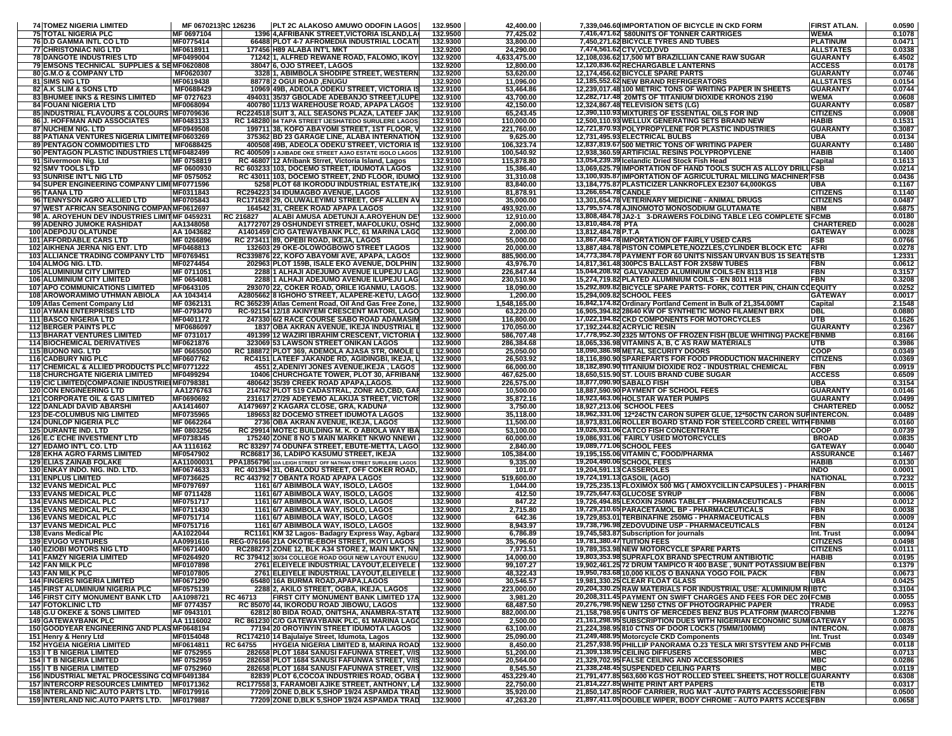| <b>74 TOMEZ NIGERIA LIMITED</b>                                                          | MF 0670213RC 126236      | PLT 2C ALAKOSO AMUWO ODOFIN LAGOS                                                                        | 132.9500             | 42,400.00                |                            | 7,339,046.60 IMPORTATION OF BICYCLE IN CKD FORM                                                                        | <b>FIRST ATLAN.</b>                | 0.0590           |
|------------------------------------------------------------------------------------------|--------------------------|----------------------------------------------------------------------------------------------------------|----------------------|--------------------------|----------------------------|------------------------------------------------------------------------------------------------------------------------|------------------------------------|------------------|
| <b>75 TOTAL NIGERIA PLC</b><br>76 D.D GAMMA INTL CO LTD                                  | MF 0697104<br>MF0775414  | 1396 4, AFRIBANK STREET, VICTORIA ISLAND, LA<br>66488 PLOT 4-7 AFROMEDIA INDUSTRIAL LOCAT                | 132.9500<br>132.9300 | 77,425.02<br>33,800.00   |                            | 7,416,471.62 580UNITS OF TONNER CARTRIGES<br>7,450,271.62 BICYCLE TYRES AND TUBES                                      | WEMA<br><b>PLATINUM</b>            | 0.1078<br>0.0471 |
| <b>77 CHRISTONIAC NIG LTD</b>                                                            | MF0618911                | 177456 H89 ALABA INT'L MKT                                                                               | 132.9200             | 24,290.00                |                            | 7,474,561.62 CTV, VCD, DVD                                                                                             | <b>ALLSTATES</b>                   | 0.0338           |
| <b>78 DANGOTE INDUSTRIES LTD</b>                                                         | MF0499004                | 71242 1, ALFRED REWANE ROAD, FALOMO, IKOY                                                                | 132.9200             | 4,633,475.00             |                            | 12,108,036.62 17,500 MT BRAZILLIAN CANE RAW SUGAR                                                                      | <b>GUARANTY</b>                    | 6.4502           |
| 79 EMSONS TECHNICAL SUPPLIES & SEMF0620808<br><b>80 G.M.O &amp; COMPANY LTD</b>          | MF0620307                | 38047 6. OJO STREET, LAGOS<br>3328 1, ABIMBOLA SHODIPE STREET, WESTERN                                   | 132.9200<br>132.9200 | 12,800.00<br>53,620.00   |                            | 12,120,836.62 RECHARGABLE LANTERNS<br>12,174,456.62 BICYCLE SPARE PARTS                                                | <b>ACCESS</b><br><b>GUARANTY</b>   | 0.0178<br>0.0746 |
| 81 SIMS NIG LTD                                                                          | MF0619438                | 88778 2 OGUI ROAD, ENUGU                                                                                 | 132.9200             | 11,096.00                |                            | 12,185,552.62 NEW BRAND REFRIGERATORS                                                                                  | <b>ALLSTATES</b>                   | 0.0154           |
| 82 A.K SLIM & SONS LTD                                                                   | MF0688429                | 10969 49B, ADEOLA ODEKU STREET, VICTORIA I                                                               | 132.9100             | 53,464.86                |                            | 12,239,017.48 100 METRIC TONS OF WRITING PAPER IN SHEETS                                                               | <b>GUARANTY</b>                    | 0.0744           |
| 83 BHUMEE INKS & RESINS LIMITED                                                          | MF 0727623               | 494031 35/37 GBOLADE ADEBANJO STREET, ILUPE                                                              | 132.9100             | 43.700.00                |                            | 12,282,717.48 20MTS OF TITANIUM DIOXIDE KRONOS 2190                                                                    | <b>WEMA</b>                        | 0.0608           |
| <b>84 FOUANI NIGERIA LTD</b><br>85 INDUSTRIAL FLAVOURS & COLOURS IMF0709636              | MF0068094                | 400780 11/13 WAREHOUSE ROAD, APAPA LAGOS<br>RC224518 SUIT 3, ALL SEASONS PLAZA, LATEEF JAI               | 132.9100<br>132.9100 | 42,150.00<br>65,243.45   |                            | 12,324,867.48 TELEVISION SETS (LG)<br>12,390,110.93 MIXTURES OF ESSENTIAL OILS FOR IND                                 | <b>GUARANTY</b><br><b>CITIZENS</b> | 0.0587<br>0.0908 |
| 86 J. HOFFMAN AND ASSOCIATES                                                             | MF0483133                | RC 148280 84 TAPA STREET IJESHATEDO SURULERE LAGOS                                                       | 132.9100             | 110,000.00               |                            | 12,500,110.93 WELLUX GENERATING SETS BRAND NEW                                                                         | <b>HABIB</b>                       | 0.1531           |
| 87 NUCHEM NIG. LTD                                                                       | MF0949508                | 199711 38, KOFO ABAYOMI STREET, 1ST FLOOR,                                                               | 132.9100             | 221,760.00               |                            | 12,721,870.93 POLYPROPYLENE FOR PLASTIC INDUSTRIES                                                                     | <b>GUARANTY</b>                    | 0.3087           |
| 88 PATIANA VENTURES NIGERIA LIMITEIMF0603269                                             |                          | 375362 BD 23 GARAGE LINE, ALABA INTERNATION                                                              | 132.9100             | 9,625.00                 |                            | 12,731,495.93 ELECTRICAL BULBS                                                                                         | <b>UBA</b>                         | 0.0134           |
| <b>89 PENTAGON COMMODITIES LTD</b><br>90 PENTAGON PLASTIC INDUSTRIES LTDMF0482499        | MF0688425                | 400508149B, ADEOLA ODEKU STREET, VICTORIA I<br>RC 40050913 AJIBADE OKE STREET AJAO ESTATE ISOLO LAGOS    | 132.9100<br>132.9100 | 106,323.74<br>100,540.92 |                            | 12,837,819.67 500 METRIC TONS OF WRITING PAPER<br>12,938,360.59 ARTIFICIAL RESINS POLYPROPYLENE                        | <b>GUARANTY</b><br><b>HABIB</b>    | 0.1480<br>0.1400 |
| 91 Silvermoon Nig. Ltd                                                                   | MF 0758819               | RC 46807 12 Afribank Strret, Victoria Island, Lagos                                                      | 132.9100             | 115,878.80               |                            | 13,054,239.39 Icelandic Dried Stock Fish Head                                                                          | Capital                            | 0.1613           |
| 92 SMV TOOLS LTD                                                                         | MF 0600930               | RC 603233 103, DOCEMO STREET, IDUMOTA LAGOS                                                              | 132.9100             | 15,386.40                |                            | 13,069,625.79 IMPORTATION OF HAND TOOLS SUCH AS ALLOY DRILLIFSB                                                        |                                    | 0.0214           |
| 93 SUNRISE INT'L NIG LTD<br>94 SUPER ENGINEERING COMPANY LIMINF0771596                   | MF 0575052               | RC 43011 103, DOCEMO STREET, 2ND FLOOR, IDUMO                                                            | 132.9100<br>132.9100 | 31,310.08                |                            | 13,100,935.87 IMPORTATION OF AGRICULTURAL MILLING MACHINER FSB<br>13,184,775.87 PLASTICIZER LANKROFLEX E2307 64,000KGS |                                    | 0.0436<br>0.1167 |
| 95 TAANA LTD                                                                             | MF0311843                | 5258 PLOT 68 IKORODU INDUSTRIAL ESTATE, IK<br>RC294223 34 IDUMAGBO AVENUE, LAGOS                         | 132.9100             | 83,840.00<br>81,878.91   | 13,266,654.78 CANDLE       |                                                                                                                        | <b>UBA</b><br><b>CITIZENS</b>      | 0.1140           |
| 96 TENNYSON AGRO ALLIED LTD                                                              | MF0705843                | RC171628 29, OLUWALEYIMU STREET, OFF ALLEN AT                                                            | 132.9100             | 35,000.00                |                            | 13,301,654.78 VETERINARY MEDICINE - ANIMAL DRUGS                                                                       | <b>CITIZENS</b>                    | 0.0487           |
| 97 WEST AFRICAN SEASONING COMPANMF0612697                                                |                          | 164542 31, CREEK ROAD APAPA LAGOS                                                                        | 132.9100             | 493,920.00               |                            | 13,795,574.78 AJINOMOTO MONOSODIUM GLUTAMATE                                                                           | <b>NBM</b>                         | 0.6875           |
| 98 A. AROYEHUN DEV INDUSTRIES LIMITIMF 0459231<br>99 ADENRO JUMOKE RASHIDAT              | AA1348058                | ALABI AMUSA ADETUNJI A.AROYEHUN DE<br>RC 216827<br>A1772707 29 OSHUNDEYI STREET, MAFOLUKU, OSH           | 132.9000<br>132.9000 | 12,910.00<br>2,000.00    | 13,810,484.78 PTA          | 13,808,484.78 JA2-1 3-DRAWERS FOLDING TABLE LEG COMPLETE SFCMB                                                         | <b>CHARTERED</b>                   | 0.0180<br>0.0028 |
| <b>100 ADEPOJU OLATUNDE</b>                                                              | AA 1043682               | A1401459 C/O GATEWAYBANK PLC, 61 MARINA LAG                                                              | 132.9000             | 2,000.00                 | 13,812,484.78 P.T.A        |                                                                                                                        | <b>GATEWAY</b>                     | 0.0028           |
| <b>101 AFFORDABLE CARS LTD</b>                                                           | MF 0266896               | RC 273411 89, OPEBI ROAD, IKEJA, LAGOS                                                                   | 132.9000             | 55,000.00                |                            | 13,867,484.78 IMPORTATION OF FAIRLY USED CARS                                                                          | <b>FSB</b>                         | 0.0766           |
| <b>102 AIKHENA JERNA NIG ENT. LTD</b>                                                    | MF0468813                | 132603 29 OKE-OLOWOGBOWO STREET LAGOS                                                                    | 132.9000             | 20,000.00                |                            | 13,887,484.78 PISTON COMPLETE, NOZZLES, CYLINDER BLOCK ETC                                                             | <b>AFRI</b>                        | 0.0278           |
| 103 ALLIANCE TRADING COMPANY LTD   MF0769451<br>104 ALMOG NIG. LTD.                      | MF0274454                | RC339876 22, KOFO ABAYOMI AVE, APAPA, LAGOS<br>202963 PLOT 159B, ISALE EKO AVENUE, DOLPHIN               | 132.9000<br>132.9000 | 885,900.00<br>43,976.70  |                            | 14,773,384.78 PAYMENT FOR 60 UNITS NISSAN URVAN BUS 15 SEATESTB<br>14,817,361.48 300 PCS BALLAST FOR 2X58W TUBES       | <b>FBN</b>                         | 1.2331<br>0.0612 |
| <b>105 ALUMINIUM CITY LIMITED</b>                                                        | MF 0711051               | 2288 1 ALHAJI ADEJUMO AVENUE ILUPEJU LAG                                                                 | 132.9000             | 226.847.44               |                            | 15,044,208.92 GALVANIZED ALUMINIUM COILS-EN 8113 H18                                                                   | FBN                                | 0.3157           |
| <b>106 ALUMINIUM CITY LIMITED</b>                                                        | MF 0654081               | 2288 1 ALHAJI ADEJUMO AVENUE ILUPEJU LAG                                                                 | 132.9000             | 230,510.90               |                            | 15,274,719.82 PLATED ALUMINIUM COILS - EN 8011 H18                                                                     | FBN                                | 0.3208           |
| <b>107 APO COMMUNICATIONS LIMITED</b>                                                    | MF0643105                | 293070 22. COKER ROAD, ORILE IGANMU, LAGOS                                                               | 132.9000             | 18,090.00                |                            | 15,292,809.82 BICYCLE SPARE PARTS- FORK, COTTER PIN, CHAIN COEQUITY                                                    |                                    | 0.0252           |
| 108 AROWORAMIMO UTHMAN ABIOLA<br>109 Atlas Cement Company Ltd                            | AA 1043414<br>MF 0362131 | A2805662 8 IGHOHO STREET, ALAPERE-KETU, LAGO<br>RC 365239 Atlas Cement Road, Oil And Gas Free Zone.      | 132.9000<br>132.9000 | 1,200.00<br>1.548.165.00 |                            | 15,294,009.82 SCHOOL FEES<br>16,842,174.82 Ordinary Portland Cement in Bulk of 21,354,00M1                             | <b>GATEWAY</b><br>Capital          | 0.0017<br>2.1548 |
| <b>110 AYMAN ENTERPRISES LTD</b>                                                         | MF-0793470               | RC-92154112/18 AKINYEMI CRESCENT MATORI, LAGO                                                            | 132.9000             | 63,220.00                |                            | 16,905,394.82 28640 KW OF SYNTHETIC MONO FILAMENT BRX                                                                  | DBL                                | 0.0880           |
| <b>111 BASCO NIGERIA LTD</b>                                                             | MF0401172                | 247330 6/2 RACE COURSE SABO ROAD ADAMASIN                                                                | 132.9000             | 116,800.00               |                            | 17,022,194.82 CKD COMPONENTS FOR MOTORCYCLES                                                                           | UTB                                | 0.1626           |
| <b>112 BERGER PAINTS PLC</b>                                                             | MF0686097                | 1837 OBA AKRAN AVENUE, IKEJA INDUSTRIAL                                                                  | 132.9000             | 170,050.00               |                            | 17,192,244.82 ACRYLIC RESIN                                                                                            | <b>GUARANTY</b>                    | 0.2367           |
| <b>113 BHARAT VENTURES LIMITED</b><br><b>114 BIOCHEMICAL DERIVATIVES</b>                 | MF 0731017<br>MF0621876  | 491399 12 WAZIRI IBRAHIM CRESCENT, VICTORIA<br>323069 53 LAWSON STREET ONIKAN LAGOS                      | 132.9000<br>132.9000 | 586,707.48<br>286,384.68 |                            | 17,778,952.30 2325 M/TONS OF FROZEN FISH (BLUE WHITING) PACKE FBNMB<br>18,065,336.98 VITAMINS A, B, C AS RAW MATERIALS | UTB                                | 0.8166<br>0.3986 |
| <b>115 BUONO NIG. LTD</b>                                                                | MF 0665500               | RC 188872 PLOT 369, ADEMOLA AJASA STR. OMOLE                                                             | 132.9000             | 25,050.00                |                            | 18,090,386.98 METAL SECURITY DOORS                                                                                     | COOP                               | 0.0349           |
| <b>116 CADBURY NIG PLC</b>                                                               | MF0607762                | RC4151 LATEEF JAKANDE RD, AGIDINGBI, IKEJA,                                                              | 132.9000             | 26,503.92                |                            | 18,116,890.90 SPAREPARTS FOR FOOD PRODUCTION MACHINERY                                                                 | <b>CITIZENS</b>                    | 0.0369           |
| 117 CHEMICAL & ALLIED PRODUCTS PLC MF0771222<br><b>118 CHURCHGATE NIGERIA LIMITED</b>    | MF0499294                | 4551 2, ADENIYI JONES AVENUE, IKEJA, LAGOS                                                               | 132.9000<br>132.9000 | 66,000.00<br>467,625.00  |                            | 18,182,890.90 TITANIUM DIOXIDE RO2 - INDUSTRIAL CHEMICAL                                                               | FBN<br><b>ACCESS</b>               | 0.0919<br>0.6509 |
| 119 CIC LIMITED (COMPAGNIE INDUSTRIEI MF0798381                                          |                          | 10406 CHURCHGATE TOWER, PLOT 30, AFRIBAN<br>480642 35/39 CREEK ROAD APAPA, LAGOS                         | 132.9000             | 226,575.00               | 18,877,090.90 SABALO FISH  | 18,650,515.90 ST. LOUIS BRAND CUBE SUGAR                                                                               | <b>UBA</b>                         | 0.3154           |
| <b>120 CON ENGINEERING LTD</b>                                                           | AA1276763                | 214762 PLOT 519 CADASTRAL, ZONE AO,CBD, GA                                                               | 132.9000             | 10,500.00                |                            | 18,887,590.90 PAYMENT OF SCHOOL FEES                                                                                   | <b>GUARANTY</b>                    | 0.0146           |
| <b>121 CORPORATE OIL &amp; GAS LIMITED</b>                                               | MF0690692                | 231617 27/29 ADEYEMO ALAKIJA STREET, VICTOR                                                              | 132.9000             | 35,872.16                |                            | 18,923,463.06 HOLSTAR WATER PUMPS                                                                                      | <b>GUARANTY</b>                    | 0.0499           |
| <b>122 DANLADI DAVID ABARSHI</b><br><b>123 DE-COLUMBUS NIG LIMITED</b>                   | AA1414607<br>MF0735965   | A1479697 2 KAGARA CLOSE, GRA, KADUNA<br>189653 82 DOCEMO STREET IDUMOTA LAGOS                            | 132.9000<br>132.9000 | 3,750.00<br>35,118.00    |                            | 18,927,213.06 SCHOOL FEES<br>18,962,331.06 12*24CTN CARON SUPER GLUE, 12*50CTN CARON SUPINTERCON.                      | <b>CHARTERED</b>                   | 0.0052<br>0.0489 |
| <b>124 DUNLOP NIGERIA PLC</b>                                                            | MF 0662264               | 2736 OBA AKRAN AVENUE, IKEJA, LAGOS                                                                      | 132.9000             | 11,500.00                |                            | 18,973,831.06 ROLLER BOARD STAND FOR STEELCORD CREEL WITH FBNMB                                                        |                                    | 0.0160           |
| <b>125 DURANTE IND. LTD</b>                                                              | MF 0803256               | RC 29914 MOTEC BUILDING M. K. O ABIOLA WAY IB.                                                           | 132.9000             | 53,100.00                |                            | <b>19,026,931.06 CATCO FISH CONCENTRATE</b>                                                                            | <b>COOP</b>                        | 0.0739           |
| <b>126 E.C ECHE INVESTMENT LTD</b>                                                       | MF0738345                | 175240 ZONE 8 NO 5 MAIN MARKET NKWO NNEWI                                                                | 132.9000             | 60,000.00                |                            | 19,086,931.06 FAIRLY USED MOTORCYCLES                                                                                  | <b>BROAD</b>                       | 0.0835           |
| 127 EDAMO INT'L CO. LTD<br><b>128 EKHA AGRO FARMS LIMITED</b>                            | AA 1116162<br>MF0547902  | RC 83297 74 ODUNFA STREET, EBUTE-METTA, LAGO<br>RC86817 36, LADIPO KASUMU STREET, IKEJA                  | 132.9000<br>132.9000 | 2,840.00<br>105,384.00   |                            | 19,089,771.06 SCHOOL FEES<br>19,195,155.06 VITAMIN C, FOOD/PHARMA                                                      | <b>GATEWAY</b><br><b>ASSURANCE</b> | 0.0040<br>0.1467 |
| <b>129 ELIAS ZAINAB FOLAKE</b>                                                           | AA11000031               | PPA1856796 10A LEIGH STREET OFF NATHAN STREET SURULERE LAGOS                                             | 132.9000             | 9,335.00                 |                            | 19,204,490.06 SCHOOL FEES                                                                                              | <b>HABIB</b>                       | 0.0130           |
| 130 ENKAY INDO. NIG. IND. LTD.                                                           | MF0674633                | RC 401394 31, OBALODU STREET, OFF COKER ROAD,                                                            | 132.9000             | 101.07                   | 19,204,591.13 CASSEROLES   |                                                                                                                        | <b>INDO</b>                        | 0.0001           |
| <b>131 ENPLUS LIMITED</b>                                                                | MF0736625                | RC 443792 7 OBANTA ROAD APAPA LAGOS                                                                      | 132.9000             | 519,600.00               |                            | 19,724,191.13 GASOIL (AGO)                                                                                             | <b>NATIONAL</b>                    | 0.7232           |
| <b>132 EVANS MEDICAL PLC</b><br><b>133 EVANS MEDICAL PLC</b>                             | MF0797697<br>MF 0711428  | 1161 6/7 ABIMBOLA WAY, ISOLO, LAGOS<br>1161 6/7 ABIMBOLA WAY, ISOLO, LAGOS                               | 132.9000<br>132.9000 | 1,044.00<br>412.50       |                            | 19,725,235.13 FLOXIMOX 500 MG ( AMOXYCILLIN CAPSULES ) - PHARIFBN<br>19,725,647.63 GLUCOSE SYRUP                       | <b>FBN</b>                         | 0.0015<br>0.0006 |
| <b>134 EVANS MEDICAL PLC</b>                                                             | MF0751717                | 1161 6/7 ABIMBOLA WAY, ISOLO, LAGOS                                                                      | 132.9000             | 847.22                   |                            | 19,726,494.85 LEXOXIN 250MG TABLET - PHARMACEUTICALS                                                                   | <b>FBN</b>                         | 0.0012           |
| <b>135 EVANS MEDICAL PLC</b>                                                             | MF0711430                | 1161 6/7 ABIMBOLA WAY, ISOLO, LAGOS                                                                      | 132.9000             | 2,715.80                 |                            | 19,729,210.65 PARACETAMOL BP - PHARMACEUTICALS                                                                         | FBN                                | 0.0038           |
| <b>136 EVANS MEDICAL PLC</b>                                                             | MF0751714                | 1161 6/7 ABIMBOLA WAY, ISOLO, LAGOS                                                                      | 132.9000             | 642.36                   |                            | 19,729,853.01 TERBINAFINE 250MG - PHARMACEUTICALS                                                                      | <b>FBN</b>                         | 0.0009           |
| <b>137 EVANS MEDICAL PLC</b><br>138 Evans Medical Plc                                    | MF0751716<br>AA1022044   | 1161 6/7 ABIMBOLA WAY, ISOLO, LAGOS<br>RC1161 KM 32 Lagos- Badagry Express Way, Agbara                   | 132.9000<br>132.9000 | 8,943.97<br>6,786.89     |                            | 19,738,796.98 ZEDOVUDINE USP - PHARMACEUTICALS<br>19,745,583.87 Subscription for journals                              | FBN<br>Int. Trust                  | 0.0124<br>0.0094 |
| <b>139 EVUGO VENTURES</b>                                                                | AA0991616                | REG-076166 21A OKOTIE-EBOH STREET, IKOYI LAGOS                                                           | 132.9000             | 35,796.60                | 19,781,380.47 TUITION FEES |                                                                                                                        | <b>CITIZENS</b>                    | 0.0498           |
| <b>140 EZIOBI MOTORS NIG LTD</b>                                                         | MF0671400                | RC288273 ZONE 12, BLK A34 STORE 2, MAIN MKT, NN                                                          | 132.9000             | 7,973.51                 |                            | 19,789,353.98 NEW MOTORCYCLE SPARE PARTS                                                                               | <b>CITIZENS</b>                    | 0.0111           |
| <b>141 FAMZY NIGERIA LIMITED</b><br><b>142 FAN MILK PLC</b>                              | MF0264920<br>MF0107898   | RC 379412 30/34 COLLEGE ROAD OGUI NEW LAYOUT ENUGU<br>2761 ELEIYELE INDUSTRIAL LAYOUT, ELEIYELE I        | 132.9000<br>132.9000 | 14,000.00                |                            | 19,803,353.98 SUPRAFLOX BRAND SPECTRUM ANTIBIOTIC                                                                      | <b>HABIB</b>                       | 0.0195           |
| <b>143 FAN MILK PLC</b>                                                                  | MF0107805                | 2761 ELEIYELE INDUSTRIAL LAYOUT, ELEIYELE I                                                              | 132.9000             | 99,107.27<br>48,322.43   |                            | 19,902,461.25 72 DRUM TAMPICO R 400 BASE, 9UNIT POTASSIUM BEIFBN<br>19,950,783.68 10,000 KILOS O BANANA YOGO FOIL PACK | FBN                                | 0.1379<br>0.0673 |
| <b>144 FINGERS NIGERIA LIMITED</b>                                                       | MF0671290                | 65480 16A BURMA ROAD, APAPA, LAGOS                                                                       | 132.9000             | 30,546.57                |                            | 19,981,330.25 CLEAR FLOAT GLASS                                                                                        | <b>UBA</b>                         | 0.0425           |
| <b>145 FIRST ALUMINIUM NIGERIA PLC</b>                                                   | MF0575139                | 2288 2, AKILO STREET, OGBA, IKEJA, LAGOS                                                                 | 132.9000             | 223,000.00               |                            | 20,204,330.25 RAW MATERIALS FOR INDUSTRIAL USE: ALUMINIUM RIIBTC                                                       |                                    | 0.3104           |
| <b>146 FIRST CITY MONUMENT BANK LTD</b><br><b>147 FOTOKLINIC LTD</b>                     | AA1098721<br>MF 0774357  | FIRST CITY MONUMENT BANK LIMITED 17/<br>RC 46713<br>RC 85070 44, IKORODU ROAD JIBOWU, LAGOS              | 132.9000<br>132.9000 | 3,981.20<br>68,487.50    |                            | 20,208,311.45 PAYMENT ON SWIFT CHARGES AND FEES FOR DEC 20 FCMB<br>20,276,798.95 NEW 1250 CTNS OF PHOTOGRAPHIC PAPER   | <b>TRADE</b>                       | 0.0055<br>0.0953 |
| <b>148 G.U OKEKE &amp; SONS LIMITED</b>                                                  | MF 0943101               | 62812 80 BIDA ROAD, ONITSHA, ANAMBRA-STAT                                                                | 132.9000             | 882,000.00               |                            | 21,158,798.95 6 UNITS OF MERCEDES BENZ BUS PLATFORM (MARCO FBNMB                                                       |                                    | 1.2276           |
| <b>149 GATEWAYBANK PLC</b>                                                               | AA 1116002               | RC 861230 C/O GATEWAYBANK PLC, 61 MARINA LAGO                                                            | 132.9000             | 2,500.00                 |                            | 21,161,298.95 SUBSCRIPTION DUES WITH NIGERIAN ECONOMIC SUMIGATEWAY                                                     |                                    | 0.0035           |
| 150 GOODYEAR ENGINEERING AND PLASMF0648194                                               |                          | 77194120 OROYINYIN STREET IDUMOTA LAGOS                                                                  | 132.9000             | 63,100.00                |                            | 21,224,398.95 810 CTNS OF DOOR LOCKS (75MM/100MM)                                                                      | <b>INTERCON.</b>                   | 0.0878           |
| 151 Henry & Henry Ltd<br><b>152 HYGEIA NIGERIA LIMITED</b>                               | MF0154048<br>MF0614811   | RC174210 14 Bajulaiye Street, Idumota, Lagos<br><b>HYGEIA NIGERIA LIMITED 8. MARINA ROAD</b><br>RC 64755 | 132.9000<br>132.9000 | 25,090.00<br>8,450.00    |                            | 21,249,488.95 Motorcycle CKD Components                                                                                | Int. Trust                         | 0.0349<br>0.0118 |
| <b>153 I T B NIGERIA LIMITED</b>                                                         | MF 0752955               | 282658 PLOT 1684 SANUSI FAFUNWA STREET, V/IS                                                             | 132.9000             | 51,200.00                |                            | 21,257,938.95 PHILLIP PANORAMA 0.23 TESLA MRI STSYTEM AND PHFCMB<br>21,309,138.95 CEILING DIFFUSERS                    |                                    | 0.0713           |
| <b>154 I T B NIGERIA LIMITED</b>                                                         | MF 0752959               | 282658 PLOT 1684 SANUSI FAFUNWA STREET, V/IS                                                             | 132.9000             | 20,564.00                |                            | 21,329,702.95 FALSE CEILING AND ACCESSORIES                                                                            | <b>MBC</b>                         | 0.0286           |
| <b>155 I T B NIGERIA LIMITED</b>                                                         | MF 0752960               | 282658 PLOT 1684 SANUSI FAFUNWA STREET, V/IS                                                             | 132.9000             | 8,545.50                 |                            | 21,338,248.45 SUSPENDED CEILING PARTS                                                                                  | МВС                                | 0.0119           |
| 156 INDUSTRIAL METAL PROCESSING COMF0491384<br>157 INTERCORP RESOURCES LMIMTED MF0171362 |                          | 82839 PLOT 6, COCOA INDUSTRIES ROAD, OGBA<br>RC177558 3, FARAMOBI AJIKE STREET, ANTHONY, LA              | 132.9000<br>132.9000 | 453,229.40<br>22,750.00  |                            | 21,791,477.85 563,600 KGS HOT ROLLED STEEL SHEETS, HOT ROLL<br>21,814,227.85 WHITE PRINT ART PAPERS                    | <b>EIGUARANTY</b><br>ETB           | 0.6308<br>0.0317 |
| 158 INTERLAND NIC.AUTO PARTS LTD. MF0179916                                              |                          | 77209 ZONE D, BLK 5, SHOP 19/24 ASPAMDA TRAD                                                             | 132.9000             | 35,920.00                |                            | 21,850,147.85 ROOF CARRIER, RUG MAT - AUTO PARTS ACCESSORIE FBN                                                        |                                    | 0.0500           |
| 159 INTERLAND NIC.AUTO PARTS LTD. MF0179887                                              |                          | 77209 ZONE D, BLK 5, SHOP 19/24 ASPAMDA TRAD                                                             | 132.9000             | 47,263.20                |                            | 21,897,411.05 DOUBLE WIPER, BODY CHROME - AUTO PARTS ACCESFBN                                                          |                                    | 0.0658           |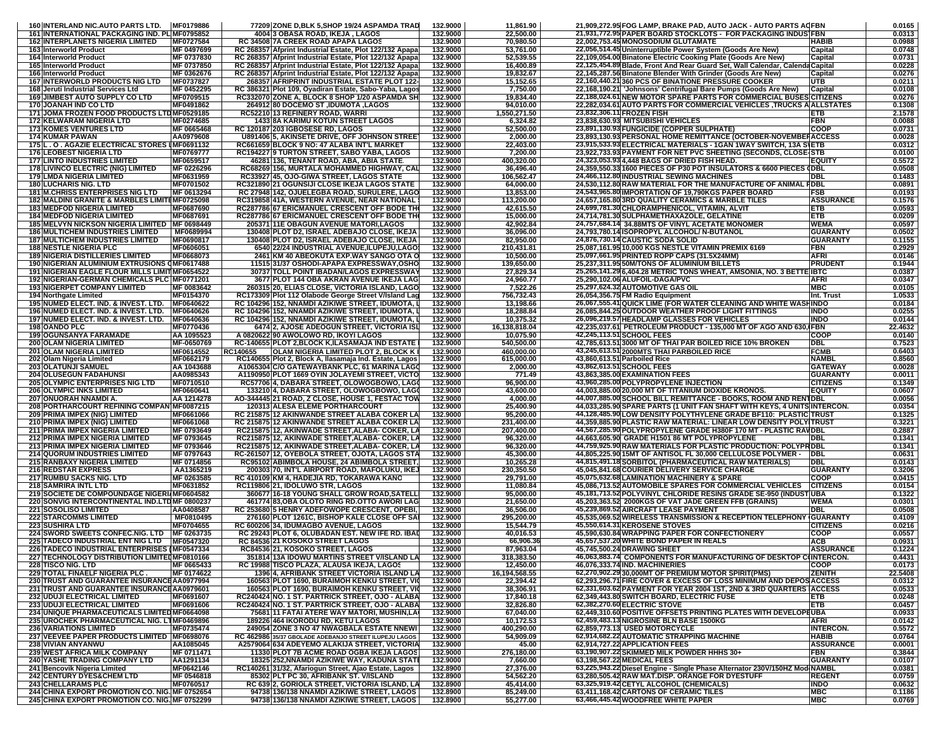| 160 INTERLAND NIC.AUTO PARTS LTD. MF0179886                                                      |                    | 77209 ZONE D, BLK 5, SHOP 19/24 ASPAMDA TRAD                                                           | 132.9000             |                        |                                                                                                                             |                          |                  |
|--------------------------------------------------------------------------------------------------|--------------------|--------------------------------------------------------------------------------------------------------|----------------------|------------------------|-----------------------------------------------------------------------------------------------------------------------------|--------------------------|------------------|
| <b>161 INTERNATIONAL PACKAGING IND. PLIMF0795852</b>                                             |                    | 4004 3 OBASA ROAD, IKEJA, LAGOS                                                                        | 132.9000             | 11,861.90<br>22,500.00 | 21,909,272.95 FOG LAMP, BRAKE PAD, AUTO JACK - AUTO PARTS ACFBN                                                             |                          | 0.0165<br>0.0313 |
|                                                                                                  |                    | RC 34508 7A CREEK ROAD APAPA LAGOS                                                                     |                      |                        | 21,931,772.95 PAPER BOARD STOCKLOTS - FOR PACKAGING INDUSTERN<br>22,002,753.45 MONOSODIUM GLUTAMATE                         |                          |                  |
| <b>162 INTERPLANETS NIGERIA LIMITED</b>                                                          | MF0727584          |                                                                                                        | 132.9000             | 70,980.50              |                                                                                                                             | HABIB                    | 0.0988           |
| 163 Interworld Product                                                                           | MF 0497699         | RC 268357 Afprint Industrial Estate, Plot 122/132 Apapa                                                | 132,9000             | 53,761.00              | 22,056,514.45 Uninterruptible Power System (Goods Are New)                                                                  | Capital                  | 0.0748           |
| 164 Interworld Product                                                                           | MF 0737830         | RC 268357 Afprint Industrial Estate, Plot 122/132 Apapa                                                | 132.9000             | 52,539.55              | 22,109,054.00 Binatone Electric Cooking Plate (Goods Are New)                                                               | Capital                  | 0.0731           |
| <b>165 Interworld Product</b>                                                                    | MF 0737850         | RC 268357 Afprint Industrial Estate, Plot 122/132 Apapa                                                | 132.9000             | 16,400.89              | 22,125,454.89 Blade, Front And Rear Guard Set, Wall Calendar, Calenda Capital                                               |                          | 0.0228           |
| 166 Interworld Product                                                                           | MF 0362676         | RC 268357 Afprint Industrial Estate, Plot 122/132 Apapa                                                | 132.9000             | 19,832.67              | 22,145,287.56 Binatone Blender With Grinder (Goods Are New)                                                                 | Capital                  | 0.0276           |
| <b>167 INTERWORLD PRODUCTS NIG LTD</b>                                                           | MF0737827          | 268357 AFRIPRINT INDUSTRIAL ESTATE PLOT 122                                                            | 132.9000             | 15,152.65              | 22,160,440.21 360 PCS OF BINATIONE PRESSURE COOKER                                                                          | UTB                      | 0.0211           |
| 168 Jeruti Industrial Services Ltd                                                               | MF 0452295         | RC 386321 Plot 109, Oyadiran Estate, Sabo-Yaba, Lago:                                                  | 132.9000             | 7,750.00               | 22,168,190.21 'Johnsons' Centrifugal Bare Pumps (Goods Are New)                                                             | Capital                  | 0.0108           |
| <b>169 JIMBEST AUTO SUPPLY CO LTD</b>                                                            | MF0709515          | RC332070 ZONE A, BLOCK 8 SHOP 1/20 ASPAMDA SI                                                          | 132.9000             | 19,834.40              | 22,188,024.61 NEW MOTOR SPARE PARTS FOR COMMERCIAL BUSI                                                                     | <b>CITIZENS</b>          | 0.0276           |
| <b>170 JOANAH IND CO LTD</b>                                                                     | MF0491862          | 264912 80 DOCEMO ST, IDUMOTA, LAGOS                                                                    | 132.9000             | 94,010.00              | 22,282,034.61 AUTO PARTS FOR COMMERCIAL VEHICLES, TRUCKS A ALLSTATES                                                        |                          | 0.1308           |
| <b>171 JOMA FROZEN FOOD PRODUCTS LTDMF0529185</b>                                                |                    | RC52210 13 REFINERY ROAD, WARRI                                                                        | 132.9000             | 1,550,271.50           | 23,832,306.11 FROZEN FISH                                                                                                   | ETB                      | 2.1578           |
| <b>172 KELWARAM NIGERIA LTD</b>                                                                  | MF0274685          | <b>1433 8A KARIMU KOTUN STREET LAGOS</b>                                                               | 132.9000             | 6,324.82               | 23,838,630.93 MITSUBISHI VEHICLES                                                                                           | FBN                      | 0.0088           |
| <b>173 KOMES VENTURES LTD</b>                                                                    | MF 0665468         | RC 120187 203 IGBOSESE RD, LAGOS                                                                       | 132,9000             | 52,500.00              | 23,891,130.93 FUNGICIDE (COPPER SULPHATE)                                                                                   | COOP                     | 0.0731           |
| <b>174 KUMAR PAWAN</b>                                                                           | AA0979608          | U891406 5, AKINSETE DRIVE, OFF JOHNSON STREE                                                           | 132.9000             | 2,000.00               | 23,893,130.93 PERSONAL HOME REMITTANCE (OCTOBER-NOVEMBERACCESS                                                              |                          | 0.0028           |
| 175 L.O. AGAZIE ELECTRICAL STORES IMF0691132                                                     |                    | RC661659 BLOCK 9 NO: 47 ALABA INT'L MARKET                                                             | 132.9000             | 22,403.00              | 23,915,533.93 ELECTRICAL MATERIALS - 1GAN 1WAY SWITCH, 13A SVETB                                                            |                          | 0.0312           |
| <b>176 LEOBEST NIGERIA LTD</b>                                                                   | <b>MF0769777</b>   | RC194227 9 TURTON STREET, SABO YABA, LAGOS                                                             | 132.9000             | 7,200.00               | 23,922,733.93 PAYMENT FOR NET PVC SHEETING (SECONDS, CLOSE STB                                                              |                          | 0.0100           |
| <b>177 LINTO INDUSTRIES LIMITED</b>                                                              | MF0659517          | 46281 136, TENANT ROAD, ABA, ABIA STATE.                                                               | 132.9000             | 400,320.00             | 24,323,053.93 4,448 BAGS OF DRIED FISH HEAD.                                                                                | <b>EQUIT</b> \           | 0.5572           |
| <b>178 LIVINCO ELECTRIC (NIG) LIMITED</b>                                                        |                    | RC682691156, MURTALA MOHAMMED HIGHWAY, CA                                                              |                      |                        |                                                                                                                             |                          |                  |
|                                                                                                  | MF 0226296         |                                                                                                        | 132.9000             | 36,496.40              | 24,359,550.33 1600 PIECES OF P30 POT INSULATORS & 6600 PIECES<br>: (DBL                                                     |                          | 0.0508           |
| <b>179 LMDA NIGERIA LIMITED</b>                                                                  | MF0631959          | RC33927 45, OJO-GIWA STREET, LAGOS STATE                                                               | 132.9000             | 106,562.47             | 24,466,112.80 INDUSTRIAL SEWING MACHINES                                                                                    | DBL                      | 0.1483           |
| <b>180 LUCHARIS NIG. LTD</b>                                                                     | MF0701502          | RC321890121 OGUNSIJI CLOSE IKEJA LAGOS STATE                                                           | 132.9000             | 64,000.00              | 24,530,112.80 RAW MATERIAL FOR THE MANUFACTURE OF ANIMAL                                                                    | FIDBL                    | 0.0891           |
| <b>181 M.CHRISS ENTERPRISES NIG LTD</b>                                                          | <b>IMF 0613294</b> | RC 27948 142, OJUELEGBA ROAD, SURULERE, LAGO                                                           | 132.9000             | 13,853.00              | 24,543,965.80 IMPORTATION OF 19,790KGS PAPER BOARD                                                                          | FSB                      | 0.0193           |
| 182 MALDINI GRANITE & MARBLES LIMITEMF0725098                                                    |                    | RC319858 41A, WESTERN AVENUE, NEAR NATIONAL                                                            | 132.9000             | 113,200.00             | 24,657,165.80 3RD QUALITY CERAMICS & MARBLE TILES                                                                           | <b>ASSURANCE</b>         | 0.1576           |
| <b>183 MEDFOD NIGERIA LIMITED</b>                                                                | MF0687690          | RC287786 67 ERICMANUEL CRESCENT OFF BODE TH                                                            | 132.9000             | 42,615.50              | 24,699,781.30 CHLORAMPHENICOL, VITAMIN, ALVIT                                                                               | ETB                      | 0.0593           |
| <b>184 MEDFOD NIGERIA LIMITED</b>                                                                | MF0687691          | RC287786 67 ERICMANUEL CRESCENT OFF BODE TH                                                            | 132.9000             | 15,000.00              | 24,714,781.30 SULPHAMETHAXAZOLE, GELATINE                                                                                   | ETB                      | 0.0209           |
| 185 MELVYN NICKSON NIGERIA LIMITED MF 0698449                                                    |                    | 205371 11E OBAGUN AVENUE MATORI, LAGOS                                                                 | 132.9000             | 42,902.84              | 24,757,684.14 34.88MTS OF VINYL ACETATE MONOMER                                                                             | WEMA                     | 0.0597           |
| <b>186 MULTICHEM INDUSTRIES LIMITED</b>                                                          | MF0689994          | 130408 PLOT D2, ISRAEL ADEBAJO CLOSE, IKEJA                                                            | 132.9000             | 36,096.00              | 24,793,780.14 ISOPROPYL ALCOHOL/N-BUTANOL                                                                                   | GUARANTY                 | 0.0502           |
| <b>187 MULTICHEM INDUSTRIES LIMITED</b>                                                          | MF0690817          | 130408 PLOT D2, ISRAEL ADEBAJO CLOSE, IKEJA                                                            | 132.9000             | 82,950.00              | 24,876,730.14 CAUSTIC SODA SOLID                                                                                            | GUARANTY                 | 0.1155           |
| <b>188 NESTLE NIGERIA PLC</b>                                                                    | MF0606051          | 6540 22/24 INDUSTRIAL AVENUE, ILUPEJU, LAGO                                                            | 132.9000             | 210,431.81             | 25,087,161.95 10,000 KGS NESTLE VITAMIN PREMIX 6169                                                                         | FBN                      | 0.2929           |
| <b>189 NIGERIA DISTILLERIES LIMITED</b>                                                          | MF0668073          | 2461 KM 40 ABEOKUTA EXP.WAY SANGO OTA O                                                                | 132.9000             | 10,500.00              | 25,097,661.95 PRINTED ROPP CAPS (31.5X24MM)                                                                                 | <b>AFRI</b>              | 0.0146           |
| <b>190 NIGERIAN ALUMINIUM EXTRUSIONS CMF0617488</b>                                              |                    | 11515 31/37 OSHODI-APAPA EXPRESSWAY, OSHO                                                              | 132.9000             | 139,650.00             | 25,237,311.95 50M/TONS OF ALUMINIUM BILLETS                                                                                 | <b>PRUDENT</b>           | 0.1944           |
| <b>191 NIGERIAN EAGLE FLOUR MILLS LIMIT MF0654522</b>                                            |                    | 30737 TOLL POINT IBADAN/LAGOS EXPRESSWAY                                                               | 132.9000             | 27,829.34              | 25,265,141.29 6,404.28 METRIC TONS WHEAT, AMSONIA, NO. 3 BETTE IBTC                                                         |                          | 0.0387           |
| 192 NIGERIAN-GERMAN CHEMICALS PLC MF0771201                                                      |                    | 3677 PLOT 144 OBA AKRAN AVENUE IKEJA LAG                                                               | 132.9000             | 24,960.77              | 25,290,102.06 ALUFOIL-DAGA/PVC                                                                                              | AFRI                     | 0.0347           |
|                                                                                                  |                    |                                                                                                        |                      |                        |                                                                                                                             |                          |                  |
| <b>193 NIGERPET COMPANY LIMITED</b>                                                              | MF 0083642         | 260315 20, ELIAS CLOSE, VICTORIA ISLAND, LAGO                                                          | 132.9000             | 7,522.26               | 25,297,624.32 AUTOMOTIVE GAS OIL                                                                                            | МВС                      | 0.0105           |
| 194 Northgate Limited                                                                            | MF0154370          | RC173309 Plot 112 Olabode George Street V/Island La                                                    | 132.9000             | 756,732.43             | 26,054,356.75 FM Radio Equipment                                                                                            | Int. Trust               | 1.0533           |
| 195 NUMED ELECT. IND. & INVEST. LTD.                                                             | MF0640622          | RC 104296 152, NNAMDI AZIKIWE STREET, IDUMOTA,                                                         | 132.9000             | 13,198.66              | 26,067,555.41 QUICK LIME (FOR WATER CLEANING AND WHITE WASHINDO                                                             |                          | 0.0184           |
| 196 NUMED ELECT. IND. & INVEST. LTD. MF0640626                                                   |                    | RC 104296 152, NNAMDI AZIKIWE STREET, IDUMOTA,                                                         | 132.9000             | 18,288.84              | 26,085,844.25 OUTDOOR WEATHER PROOF LIGHT FITTINGS                                                                          | INDO                     | 0.0255           |
| 197 NUMED ELECT. IND. & INVEST. LTD. MF0640636                                                   |                    | RC 104296 152, NNAMDI AZIKIWE STREET, IDUMOTA,                                                         | 132.9000             | 10,375.32              | 26,096,219.57 HEADLAMP GLASSES FOR VEHICLES                                                                                 | <b>INDO</b>              | 0.0144           |
| 198 OANDO PLC                                                                                    | MF0770436          | 6474 2, AJOSE ADEOGUN STREET, VICTORIA IS                                                              | 132.9000             | 16,138,818.04          | 42,235,037.61 PETROLEUM PRODUCT - 135,000 MT OF AGO AND 63                                                                  | I,IFBN                   | 22.4632          |
| <b>199 OGUNSANYA FARAMADE</b>                                                                    | AA 1095523         | A 0820622 90 AWOLOWO RD, IKOYI LAGOS                                                                   | 132.9000             | 10,075.90              | 42,245,113.51 SCHOOL FEES                                                                                                   | COOP                     | 0.0140           |
| <b>200 OLAM NIGERIA LIMITED</b>                                                                  | MF-0650769         | RC-140655 PLOT 2, BLOCK K, ILASAMAJA IND ESTATE                                                        | 132.9000             | 540.500.00             | 42,785,613.51 3000 MT OF THAI PAR BOILED RICE 10% BROKEN                                                                    | DBL                      | 0.7523           |
| <b>201 OLAM NIGERIA LIMITED</b>                                                                  | MF0614552          | OLAM NIGERIA LIMITED PLOT 2, BLOCK K<br><b>≀C140655</b>                                                | 132.9000             | 460,000.00             | 43,245,613.51 2000MTS THAI PARBOILED RICE                                                                                   | <b>FCMB</b>              | 0.6403           |
| 202 Olam Nigeria Limited                                                                         | MF0662179          | RC140655 Plot 2, Block A, Ilasamaja Ind. Estate, Lagos                                                 | 132.9000             | 615,000.00             | 43,860,613.51 Parboiled Rice                                                                                                | NAMBI                    | 0.8560           |
| 203 OLATUNJI SAMUEL                                                                              | AA 1043688         | A1065304 C/O GATEWAYBANK PLC, 61 MARINA LAGO                                                           | 132,9000             | 2,000.00               | 43,862,613.51 SCHOOL FEES                                                                                                   | <b>GATEWAY</b>           | 0.0028           |
| <b>204 OLUSEGUN FADAHUNSI</b>                                                                    | AA0985343          | A1190950 PLOT 1669 OYIN JOLAYEMI STREET, VICTO                                                         | 132.9000             | 771.49                 | 43,863,385.00 EXAMINATION FEES                                                                                              | <b>GUARANTY</b>          | 0.0011           |
| 205 OLYMPIC ENTERPRISES NIG LTD                                                                  | MF0710510          | RC57706 4, DABARA STREET, OLOWOGBOWO, LAGO                                                             | 132.9000             | 96,900.00              | 43,960,285.00 POLYPROPYLENE INJECTION                                                                                       | <b>CITIZENS</b>          | 0.1349           |
| <b>206 OLYMPIC INKS LIMITED</b>                                                                  | MF0660641          | 133210 4, DABARA STREET, OLOWOGBOWO, LAGO                                                              | 132.9000             | 43,600.00              | 44,003,885.00 20,000 MT OF TITANIUM DIOXIDE KRONOS.                                                                         | EQUITY                   | 0.0607           |
| 207 ONUORAH NNAMDI A.                                                                            | AA 1214278         | AO-344445 21 ROAD, Z CLOSE, HOUSE 1, FESTAC TOW                                                        | 132.9000             | 4,000.00               | 44,007,885.00 SCHOOL BILL REMITTANCE - BOOKS, ROOM AND RENT DBL                                                             |                          | 0.0056           |
|                                                                                                  |                    |                                                                                                        |                      |                        |                                                                                                                             |                          |                  |
| 208 PORTHARCOURT REFINING COMPANIMF0087215                                                       |                    | 120313 ALESA ELEME PORTHARCOURT                                                                        | 132.9000             | 25,400.90              | 44,033,285.90 SPARE PARTS (1 UNIT FAN SHAFT WITH KEYS, 4 UNITS INTERCON.                                                    |                          | 0.0354           |
| 209 PRIMA IMPEX (NIG) LIMITED                                                                    | MF0661066          | RC 215875 12 AKINWANDE STREET ALABA COKER LA                                                           | 132.9000             | 95,200.00              | 44,128,485.90 LOW DENSITY POLYTHYLENE GRADE BF110: PLASTIC TRUST                                                            |                          | 0.1325           |
| 210 PRIMA IMPEX (NIG) LIMITED                                                                    | MF0661068          | RC 215875 12 AKINWANDE STREET ALABA COKER LA                                                           | 132.9000             | 231,400.00             | 44,359,885.90 PLASTIC RAW MATERIAL: LINEAR LOW DENSITY POLY TRUST                                                           |                          | 0.3221           |
| <b>211 PRIMA IMPEX NIGERIA LIMITED</b>                                                           | MF 0793649         | RC215875 12, AKINWADE STREET, ALABA- COKER, LA                                                         | 132.9000             | 207,400.00             | 44,567,285.90 POLYPROPYLENE GRADE H380F 170 MT - PLASTIC RAVIDBL                                                            |                          | 0.2887           |
| 212 PRIMA IMPEX NIGERIA LIMITED                                                                  | MF 0793645         | RC215875 12, AKINWADE STREET, ALABA- COKER, LA                                                         | 132.9000             | 96,320.00              | 44,663,605.90 GRADE H1501 86 MT POLYPROPYLENE                                                                               | DBL                      | 0.1341           |
| 213 PRIMA IMPEX NIGERIA LIMITED                                                                  | MF 0793646         | RC215875 12, AKINWADE STREET, ALABA- COKER, LA                                                         | 132,9000             | 96,320.00              | 44,759,925.90 RAW MATERIALS FOR PLASTIC PRODUCTION: POLYP<br><b>RDBL</b>                                                    |                          | 0.1341           |
| <b>214 QUORUM INDUSTRIES LIMITED</b>                                                             | MF 0797643         | RC-261507 12, OYEBOLA STREET, OJOTA, LAGOS ST/                                                         | 132.9000             | 45,300.00              | 44,805,225.90 15MT OF ANTISOL FL 30,000 CELLULOSE POLYMER -                                                                 | DBL                      | 0.0631           |
| 215 RANBAXY NIGERIA LIMITED                                                                      | MF 0714856         | RC95102 ABIMBOLA HOUSE, 24 ABIMBOLA STREET,                                                            | 132.9000             | 10,265.28              | 44,815,491.18 SORBITOL (PHARMACEUTICAL RAW MATERIALS)                                                                       | DBL                      | 0.0143           |
| <b>216 REDSTAR EXPRESS</b>                                                                       | AA1365219          | 200303170, INT'L AIRPORT ROAD, MAFOLUKU, IKEJ                                                          | 132.9000             | 230,350.50             | 45,045,841.68 COURIER DELIVERY SERVICE CHARGE                                                                               | GUARANTY                 | 0.3206           |
| 217 RUMBU SACKS NIG. LTD                                                                         | MF 0263585         | RC 410109 KM 4, HADEJIA RD, TOKARAWA KANO                                                              | 132.9000             | 29,791.00              | 45,075,632.68 LAMINATION MACHINERY & SPARE                                                                                  | COOP                     | 0.0415           |
| <b>218 SAMRIRA INTL LTD</b>                                                                      | MF0631852          | RC119806 21, IDOLUWO STR, LAGOS                                                                        | 132.9000             | 11,080.84              | 45,086,713.52 AUTOMOBILE SPARES FOR COMMERCIAL VEHICLES                                                                     | <b>CITIZENS</b>          | 0.0154           |
| 219 SOCIETE DE COMPOUNDAGE NIGERI/MF0604582                                                      |                    | 360677 16-18 YOUNG SHALL GROW ROAD, SATEL                                                              | 132.9000             | 95,000.00              | 45,181,713.52 POLYVINYL CHLORIDE RESINS GRADE SE-950 (INDUST UBA                                                            |                          | 0.1322           |
| 220 SONVIG INTERCONTINENTAL IND.LTDMF 0800237                                                    |                    | 461774 83, OBA OLOTO RING RD. OTTO AWORI LAG                                                           | 132.9000             | 21,650.00              | 45,203,363.52 2000KGS OF VAT JADE GREEN FFB (GRAINS)                                                                        | WEMA                     | 0.0301           |
| <b>221 SOSOLISO LIMITED</b>                                                                      | AA0408587          | RC 25368015 HENRY ADEFOWOPE CRESCENT, OPEBI                                                            | 132.9000             | 36,506.00              | 45,239,869.52 AIRCRAFT LEASE PAYMENT                                                                                        | DBL                      | 0.0508           |
| <b>222 STARCOMMS LIMITED</b>                                                                     | MF0810495          | 276160 PLOT 1261C, BISHOP KALE CLOSE OFF SA                                                            | 132.9000             | 295,200.00             | 45,535,069.52 WIRELESS TRANSMISSION & RECEPTION TELEPHONY GUARANTY                                                          |                          | 0.4109           |
| 223 SUSHIRA LTD                                                                                  | MF0704655          | RC 600206 34, IDUMAGBO AVENUE, LAGOS                                                                   | 132.9000             | 15,544.79              | 45,550,614.31 KEROSENE STOVES                                                                                               | <b>CITIZENS</b>          | 0.0216           |
| 224 SWORD SWEETS CONFEC.NIG. LTD   MF 0263735                                                    |                    | RC 29243 PLOT 6, OLUBADAN EST. NEW IFE RD. IBA                                                         | 132.9000             | 40,016.53              | 45,590,630.84 WRAPPING PAPER FOR CONFECTIONERY                                                                              | COOP                     | 0.0557           |
| 225 TADECO INDUSTRIAL ENT NIG LTD MF0547320                                                      |                    |                                                                                                        |                      |                        | 45,657,537.20 WHITE BOND PAPER IN REALS                                                                                     |                          |                  |
| 226 TADECO INDUSTRIAL ENTERPRISES (MF0547334                                                     |                    | RC 84536 21 KOSOKO STREET LAGOS                                                                        | 132.9000<br>132.9000 | 66,906.36<br>87,963.04 |                                                                                                                             | ACB<br><b>ASSURANCE</b>  | 0.0931<br>0.1224 |
| 227 TECHNOLOGY DISTRIBUTION LIMITED MF0810166                                                    |                    | RC84536 21, KOSOKO STREET, LAGOS                                                                       |                      |                        | 45,745,500.24 DRAWING SHEET                                                                                                 |                          |                  |
|                                                                                                  |                    | 351814 13A IDOWU MARTINS STREET V/ISLAND LA                                                            | 132.9000             | 318,383.50             | 46,063,883.74 COMPONENTS FOR MANUFACTURING OF DESKTOP C(INTERCON.                                                           |                          | 0.4431           |
| 228 TISCO NIG. LTD                                                                               | MF 0665433         | RC 19988 TISCO PLAZA, ALAUSA IKEJA, LAGOS                                                              | 132.9000             | 12,450.00              | 46,076,333.74 IND. MACHINERIES                                                                                              | COOP                     | 0.0173           |
| 229 TOTAL FINAELF NIGERIA PLC.                                                                   | MF 0174622         | 1396 4, AFRIBANK STREET VICTORIA ISLAND LA                                                             | 132.9000             | 16,194,568.55          | 62,270,902.29 30,000MT OF PREMIUM MOTOR SPIRIT(PMS)                                                                         | ZENITH                   | 22.5408          |
| 230 TRUST AND GUARANTEE INSURANCE AA0977994                                                      |                    | 160563 PLOT 1690, BURAIMOH KENKU STREET, VIO                                                           | 132.9000             | 22,394.42              | 62,293,296.71 FIRE COVER & EXCESS OF LOSS MINIMUM AND DEPOS ACCESS                                                          |                          | 0.0312           |
| 231 TRUST AND GUARANTEE INSURANCE AA0979601                                                      |                    | 160563 PLOT 1690, BURAIMOH KENKU STREET, VI                                                            | 132.9000             | 38,306.91              | 62,331,603.62 PAYMENT FOR YEAR 2004 1ST, 2ND & 3RD QUARTERS   ACCESS                                                        |                          | 0.0533           |
| <b>232 UDUJI ELECTRICAL LIMITED</b>                                                              |                    | RC240424 NO. 1 ST. PARTRICK STREET, OJO - ALABA                                                        | 132.9000             | 17,840.18              | 62,349,443.80 SWITCH BOARD, ELECTRIC FUSE                                                                                   | ETB                      | 0.0248           |
| <b>233 UDUJI ELECTRICAL LIMITED</b>                                                              | MF0691607          |                                                                                                        |                      |                        |                                                                                                                             | ETB                      | 0.0457           |
|                                                                                                  | MF0691606          | RC240424 NO. 1 ST. PARTRICK STREET, OJO - ALABA                                                        | 132,9000             | 32,826.80              | 62,382,270.60 ELECTRIC STOVE                                                                                                |                          |                  |
| 234 UNIQUE PHARMACEUTICALS LIMITED MF0664098                                                     |                    | 75681 11 FATAI ATERE WAY MATORI, MUSHIN, LA                                                            | 132.9000             | 67,040.00              | 62,449,310.60 POSITIVE OFFSETS PRINTING PLATES WITH DEVELOPHUBA                                                             |                          | 0.0933           |
| 235 UROCHEK PHARMACEUTICAL NIG. LTMF0469896                                                      |                    | 189226 464 IKORODU RD, KETU LAGOS                                                                      | 132.9000             | 10,172.53              | 62,459,483.13 NIGROSINE BLN BASE 1500KG                                                                                     | AFRI                     | 0.0142           |
| <b>236 VARIATIONS LIMITED</b>                                                                    | MF0735474          | <b>249054 ZONE 3 NO 47 NWAGBALA ESTATE NNEWL</b>                                                       | 132.9000             | 400,290.00             | 62,859,773.13 USED MOTORCYCLE                                                                                               | <b>INTERCON.</b>         | 0.5572           |
| 237 VEEVEE PAPER PRODUCTS LIMITED MF0698076                                                      |                    |                                                                                                        | 132.9000             | 54,909.09              | 62,914,682.22 AUTOMATIC STRAPPING MACHINE                                                                                   | <b>HABIB</b>             | 0.0764           |
| 238 VIVIAN ANYANWU                                                                               | AA1085045          | RC 462986 35/37 GBOLADE ADEBANJO STREET ILUPEJU LAGOS<br>A2579064 634 ADEYEMO ALAKIJA STREET, VICTORIA | 132.9000             |                        | 62,914,727.22 APPLICATION FEES                                                                                              | <b>ASSURANCE</b>         | 0.0001           |
|                                                                                                  |                    |                                                                                                        |                      | 45.00                  |                                                                                                                             |                          |                  |
| 239 WEST AFRICA MILK COMPANY                                                                     | MF 0711471         | 11330 PLOT 7B ACME ROAD OGBA IKEJA LAGOS                                                               | 132.9000             | 276,180.00             | 63,190,907.22 SKIMMED MILK POWDER HHHS 30+                                                                                  | FBN                      | 0.3844           |
| <b>240 YASHE TRADING COMPANY LTD</b>                                                             | AA1291134          | 18325 252, NNAMDI AZIKIWE WAY, KADUNA STAT                                                             | 132.9000             | 7,660.00               |                                                                                                                             | <b>GUARANTY</b>          | 0.0107           |
| 241 Bencovik Nigeria Limited                                                                     | MF0642146          | RC140261 31/32, Afariogun Street, Ajao Estate, Lagos                                                   | 132.8900             | 27,376.00              | G3,198,567.22 MEDICAL FEES<br>63,225,94 <u>3.22 Diesel Engine - Single Phase Alternator 230V/150HZ Mod<sub>I</sub>NAMBL</u> |                          | 0.0381           |
| 242 CENTURY DYES&CHEM LTD                                                                        | MF 0546818         | 85302 PLT PC 30, AFRIBANK ST. V/ISLAND                                                                 | 132.8900             | 54,562.20              | 63,280,505.42 RAW MAT.DISP. ORANGE FOR DYESTUFF                                                                             | <b>REGENT</b>            | 0.0759           |
| <b>243 CHELLARAMS PLC</b>                                                                        | MF0760517          | RC 63912, GORIOLA STREET, VICTORIA ISLAND, LA                                                          | 132.8900             | 45,414.00              | 63,325,919.42 CETYL ALCOHOL (CHEMICALS)                                                                                     | <b>INDO</b>              | 0.0632           |
| 244 CHINA EXPORT PROMOTION CO. NIG. MF 0752654<br>245 CHINA EXPORT PROMOTION CO. NIG. MF 0752299 |                    | 94738 136/138 NNAMDI AZIKIWE STREET, LAGOS<br>947381136/138 NNAMDI AZIKIWE STREET, LAGOS I             | 132.8900<br>132.8900 | 85,249.00<br>55,277.00 | 63,411,168.42 CARTONS OF CERAMIC TILES<br>63,466,445.42 WOODFREE WHITE PAPER                                                | <b>MBC</b><br><b>MBC</b> | 0.1186<br>0.0769 |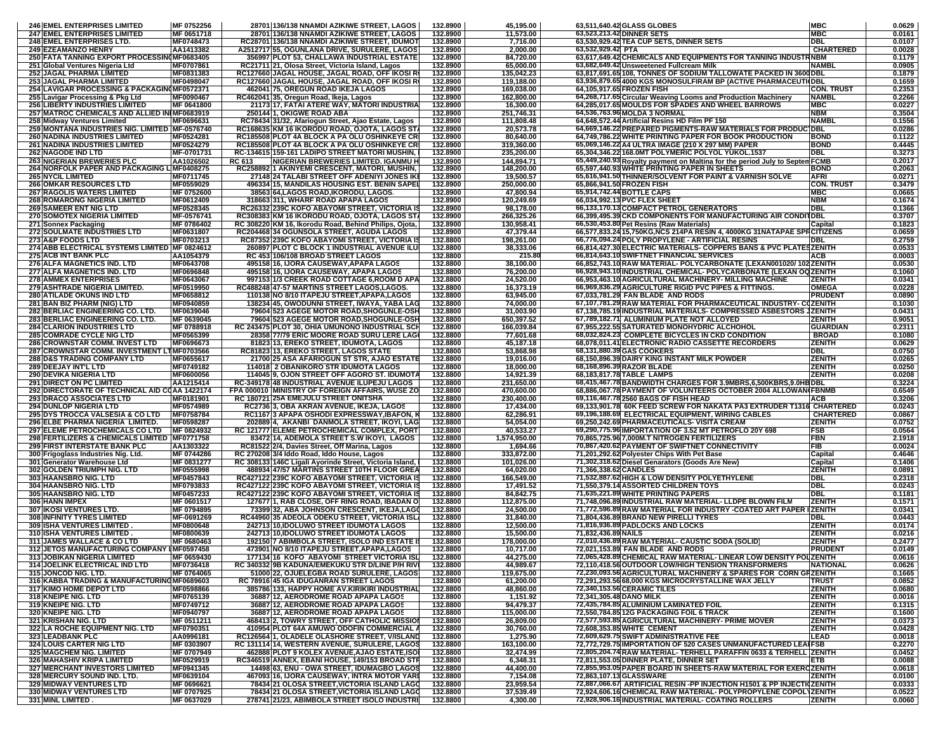| <b>246 EMEL ENTERPRISES LIMITED</b>                                                   | MF 0752256               |        | 28701 136/138 NNAMDI AZIKIWE STREET, LAGOS                                                             | 132.8900             | 45,195.00                | 63,511,640.42 GLASS GLOBES                                                                                                             | <b>MBC</b>                        | 0.0629           |  |
|---------------------------------------------------------------------------------------|--------------------------|--------|--------------------------------------------------------------------------------------------------------|----------------------|--------------------------|----------------------------------------------------------------------------------------------------------------------------------------|-----------------------------------|------------------|--|
| <b>247 EMEL ENTERPRISES LIMITED</b>                                                   | MF 0651718               |        | 28701 136/138 NNAMDI AZIKIWE STREET, LAGOS                                                             | 132.8900             | 11,573.00                | 63,523,213.42 DINNER SETS                                                                                                              | <b>MBC</b>                        | 0.0161           |  |
| 248 EMEL ENTERPRISES LTD.                                                             | MF0748473                |        | RC28701 136/138 NNAMDI AZIKIWE STREET, IDUMOT                                                          | 132.8900<br>132.8900 | 7,716.00                 | 63,530,929.42 TEA CUP SETS, DINNER SETS<br>63,532,929.42 PTA                                                                           | <b>DBL</b><br><b>CHARTERED</b>    | 0.0107<br>0.0028 |  |
| <b>249 EZEAMANZO HENRY</b><br>250 FATA TANNING EXPORT PROCESSING MF0683405            | AA1413382                |        | A2512717 55, OGUNLANA DRIVE, SURULERE, LAGOS<br>356997 PLOT 53, CHALLAWA INDUSTRIAL ESTATE             | 132.8900             | 2,000.00<br>84,720.00    | 63,617,649.42 CHEMICALS AND EQUIPMENTS FOR TANNING INDUSTRINBM                                                                         |                                   | 0.1179           |  |
| 251 Global Ventures Nigeria Ltd                                                       | MF0707861                |        | RC21711 21, Olosa Street, Victoria Island, Lagos                                                       | 132.8900             | 65,000.00                | 63,682,649.42 Unsweetened Fullcream Milk                                                                                               | <b>NAMBL</b>                      | 0.0905           |  |
| <b>252 JAGAL PHARMA LIMITED</b>                                                       | MF0831383                |        | RC127660 JAGAL HOUSE, JAGAL ROAD, OFF IKOSI R                                                          | 132.8900             | 135,042.23               | 63,817,691.65 108, TONNES OF SODIUM TALLOWATE PACKED IN 3600 DBL                                                                       |                                   | 0.1879           |  |
| 253 JAGAL PHARMA LIMITED                                                              | MF0498047                |        | RC127660 JAGAL HOUSE, JAGAL ROAD, OFF IKOSI R                                                          | 132.8900             | 119,188.00               | 63,936,879.65 4000 KGS MONOSULFIRAM BP (ACTIVE PHARMACEUTIOBL                                                                          |                                   | 0.1659           |  |
| 254 LAVIGAR PROCESSING & PACKAGIN(MF0572371                                           |                          |        | 462041175, OREGUN ROAD IKEJA LAGOS                                                                     | 132.8900             | 169.038.00               | 64,105,917.65 FROZEN FISH                                                                                                              | <b>CON. TRUST</b>                 | 0.2353           |  |
| 255 Lavigar Processing & Pkg Ltd                                                      | MF0090467                |        | RC462041 35, Oregun Road, Ikeja, Lagos                                                                 | 132.8900             | 162,800.00               | 64,268,717.65 Circular Weaving Looms and Production Machinery                                                                          | <b>NAMBL</b>                      | 0.2266           |  |
| <b>256 LIBERTY INDUSTRIES LIMITED</b><br>257 MATROC CHEMICALS AND ALLIED INIMF0683919 | MF 0641800               |        | 21173 17, FATAI ATERE WAY, MATORI INDUSTRIA<br>250144 1, OKIGWE ROAD ABA                               | 132.8900<br>132.8900 | 16,300.00<br>251,746.31  | 64,285,017.65 MOULDS FOR SPADES AND WHEEL BARROWS<br>64,536,763.96 MOLDA 3 NORMAL                                                      | <b>MBC</b><br><b>NBM</b>          | 0.0227<br>0.3504 |  |
| 258 Midway Ventures Limited                                                           | MF0696631                |        | RC78434 31/32, Afariogun Street, Ajao Estate, Lagos                                                    | 132.8900             | 111,808.48               | 64,648,572.44 Artificial Resins HD Film PF 150                                                                                         | NAMBI                             | 0.1556           |  |
| 259 MONTANA INDUSTRIES NIG. LIMITED MF-0576740                                        |                          |        | RC168635 KM 16 IKORODU ROAD, OJOTA, LAGOS ST                                                           | 132.8900             | 20,573.78                | 64,669,146.22 PREPARED PIGMENTS-RAW MATERIALS FOR PRODU                                                                                | <b>IDBL</b>                       | 0.0286           |  |
| <b>260 NADINA INDUSTRIES LIMITED</b>                                                  | MF0524281                |        | RC185508 PLOT 4A BLOCK A PA OLU OSHINKEYE CR                                                           | 132.8900             | 80,640.00                | 64,749,786.22 WHITE PRINTING PAPER FOR BOOK PRODUCTION                                                                                 | <b>BOND</b>                       | 0.1122           |  |
| <b>261 NADINA INDUSTRIES LIMITED</b>                                                  | MF0524279                |        | RC185508 PLOT 4A BLOCK A PA OLU OSHINKEYE CR                                                           | 132.8900             | 319,360.00               | 65,069,146.22 A4 ULTRA IMAGE (210 X 297 MM) PAPER                                                                                      | <b>BOND</b>                       | 0.4445           |  |
| <b>262 NAGODE IND LTD</b>                                                             | MF-0701731               |        | RC-134615 159-161 LADIPO STREET MATORI MUSHIN,                                                         | 132.8900             | 235,200.00               | 65,304,346.22 168.0MT POLYMERIC POLYOL YUKOL.1537                                                                                      | DBL                               | 0.3273           |  |
| <b>263 NIGERIAN BREWERIES PLC</b><br>264 NORFOLK PAPER AND PACKAGING L MF0408275      | AA1026502                | RC 613 | NIGERIAN BREWERIES LIMITED. IGANMU H<br>RC258892 1 AKINYEMI CRESCENT, MATORI, MUSHIN,                  | 132.8900<br>132.8900 | 144,894.71<br>148,200,00 | 65,449,240.93 Royalty payment on Maltina for the period July to Septem FCMB<br>65,597,440.93 WHITE PRINTING PAPER IN SHEETS            | <b>BOND</b>                       | 0.2017<br>0.2063 |  |
| <b>265 NYCIL LIMITED</b>                                                              | MF0711745                |        | 27148 24 TALABI STREET OFF ADENIYI JONES IK                                                            | 132.8900             | 19,500.57                | 65,616,941.50 THINNER/SOLVENT FOR PAINT & VARNISH SOLVE                                                                                | <b>AFRI</b>                       | 0.0271           |  |
| <b>266 OMKAR RESOURCES LTD</b>                                                        | MF0559029                |        | 496334 15, MANDILAS HOUSING EST. BENIN SAPE                                                            | 132.8900             | 250,000.00               | 65,866,941.50 FROZEN FISH                                                                                                              | <b>CON. TRUST</b>                 | 0.3479           |  |
| <b>267 RAGOLIS WATERS LIMITED</b>                                                     | MF 0752600               |        | 38563 64, LAGOS ROAD, IKORODU, LAGOS.                                                                  | 132.8900             | 47,800.94                | 65,914,742.44 BOTTLE CAPS                                                                                                              | <b>MBC</b>                        | 0.0665           |  |
| <b>268 ROMARONG NIGERIA LIMITED</b>                                                   | MF0612409                |        | 318663 311, WHARF ROAD APAPA LAGOS                                                                     | 132.8900             | 120,249.69               | 66,034,992.13 PVC FLEX SHEET                                                                                                           | <b>NBM</b>                        | 0.1674           |  |
| <b>269 SAMEER ENT NIG LTD</b>                                                         | MF0528345                |        | RC26332 239C KOFO ABAYOMI STREET, VICTORIA I                                                           | 132.8900             | 98,178.00                | 66,133,170.13 COMPACT PETROL GENERATORS                                                                                                | <b>DBL</b>                        | 0.1366           |  |
| 270 SOMOTEX NIGERIA LIMITED<br>271 Sonnex Packaging                                   | MF-0576741<br>MF 0786402 |        | RC308383 KM 16 IKORODU ROAD, OJOTA, LAGOS ST<br>RC 308220 KM 16, Ikorodu Road, Behind Philips, Ojota,  | 132.8900<br>132.8900 | 266,325.26<br>130,958.41 | 66,399,495.39 CKD COMPONENTS FOR MANUFACTURING AIR CONDITIDBL<br>66,530,453.80 Pet Resins (Raw Materials)                              | Capital                           | 0.3707<br>0.1823 |  |
| <b>272 SOULMATE INDUSTRIES LTD</b>                                                    | MF0631807                |        | RC204468 34 OGUNSOLA STREET, AGUDA LAGOS                                                               | 132.8900             | 47,379.44                | 66,577,833.24 15,750 KG, NCS 214PA RESIN 4, 4000 KG 31 NATAPAE SPR CITIZENS                                                            |                                   | 0.0659           |  |
| 273 A&P FOODS LTD                                                                     | MF0703213                |        | RC87352 239C KOFO ABAYOMI STREET, VICTORIA I                                                           | 132.8800             | 198,261.00               | 66,776,094.24 POLY PROPYLENE - ARTIFICIAL RESINS                                                                                       | DBL                               | 0.2759           |  |
| 274 ABB ELECTRICAL SYSTEMS LIMITED MF 0824612                                         |                          |        | 260897 PLOT C BLOCK 1 INDUSTRIAL AVENUE ILU                                                            | 132.8800             | 38,333.06                | 66,814,427.30 ELECTRIC MATERIALS- COPPERS BANS & PVC PLATESZENITH                                                                      |                                   | 0.0533           |  |
| <b>275 ACB INT BANK PLC</b>                                                           | AA1054379                |        | RC 453 106/108 BROAD STREET LAGOS                                                                      | 132.8800             | 215.80                   | 66,814,643.10 SWIFTNET FINANCIAL SERVICES                                                                                              | <b>ACB</b>                        | 0.0003           |  |
| 276 ALFA MAGNETICS IND. LTD<br><b>277 ALFA MAGNETICS IND. LTD</b>                     | MF0643708<br>MF0696848   |        | 495158 16, IJORA CAUSEWAY, APAPA LAGOS<br>495158116, IJORA CAUSEWAY, APAPA LAGOS                       | 132.8800<br>132.8800 | 38,100.00                | 66,852,743.10 RAW MATERIAL- POLYCARBONATE (LEXAN001020/102 ZENITH<br>66,928,943.10 INDUSTRIAL CHEMICAL- POLYCARBONATE (LEXAN OQ ZENITH |                                   | 0.0530<br>0.1060 |  |
| <b>278 AMMEX ENTERPRISES</b>                                                          | MF0643067                |        | 997153 1/3 CREEK ROAD COTTAGE 6, ROOM D AP.                                                            | 132.8800             | 76,200.00<br>24,520.00   | 66,953,463.10 AGRICULTURAL MACHINERY- MILLING MACHINE                                                                                  | <b>ZENITH</b>                     | 0.0341           |  |
| <b>279 ASHTRADE NIGERIA LIMITED.</b>                                                  | MF0519950                |        | RC488248 47-57 MARTINS STREET LAGOS,LAGOS.                                                             | 132.8800             | 16,373.19                | 66,969,836.29 AGRICULTURE RIGID PVC PIPES & FITTINGS.                                                                                  | <b>OMEGA</b>                      | 0.0228           |  |
| 280 ATILADE OKUNS IND LTD                                                             | MF0658812                |        | 110138 NO 8/10 ITAPEJU STREET, APAPA, LAGOS                                                            | 132.8800             | 63,945.00                | 67,033,781.29 FAN BLADE AND RODS                                                                                                       | <b>PRUDENT</b>                    | 0.0890           |  |
| 281 BAN BIZ PHARM (NIG) LTD                                                           | MF0940859                |        | 138234 45, OWODUNNI STREET, IWAYA, YABA LAO                                                            | 132.8800             | 74,000.00                | 67,107,781.29 RAW MATERIAL FOR PHARMACEUTICAL INDUSTRY- COZENITH                                                                       |                                   | 0.1030           |  |
| <b>282 BERLIAC ENGINEERING CO. LTD.</b>                                               | MF0639046                |        | 79604 523 AGEGE MOTOR ROAD, SHOGUNLE-OSH                                                               | 132.8800             | 31,003.90                | 67,138,785.19 INDUSTRIAL MATERIALS- COMPRESSED ASBESTORS JZENITH                                                                       |                                   | 0.0431           |  |
| 283 BERLIAC ENGINEERING CO. LTD.<br><b>284 CLARION INDUSTRIES LTD</b>                 | MF 0639045<br>MF 0788918 |        | 79604 523 AGEGE MOTOR ROAD, SHOGUNLE-OSH<br>RC 243475 PLOT 30, OHIA UMUNONO INDUSTRIAL SCH             | 132.8800<br>132.8800 | 650,397.52<br>166.039.84 | 67,789,182.71 ALUMINIUM PLATE NOT ALLOYED<br>67,955,222.55 SATURATED MONOHYDRIC ALCHOHOL                                               | <b>ZENITH</b><br><b>GUARDIAN</b>  | 0.9051<br>0.2311 |  |
| <b>285 COMRADE CYCLE NIG LTD</b>                                                      | MF0565399                |        | 28358 77/79 ERIC MOORE ROAD SURU LERE LAG                                                              | 132.8800             | 77,601.68                | 68,032,824.23 COMPLETE BICYCLES IN CKD CONDITION                                                                                       | <b>BROAD</b>                      | 0.1080           |  |
| 286 CROWNSTAR COMM. INVEST LTD                                                        | MF0696673                |        | 81823 13, EREKO STREET, IDUMOTA, LAGOS                                                                 | 132.8800             | 45,187.18                | 68,078,011.41 ELECTRONIC RADIO CASSETTE RECORDERS                                                                                      | <b>ZENITH</b>                     | 0.0629           |  |
| 287 CROWNSTAR COMM. INVESTMENT LTMF0703566                                            |                          |        | RC81823 13, EREKO STREET, LAGOS STATE                                                                  | 132.8800             | 53,868.98                | 68,131,880.39 GAS COOKERS                                                                                                              | DBL                               | 0.0750           |  |
| <b>288 D&amp;S TRADING COMPANY LTD</b>                                                | MF0655617                |        | 21700 25 ASA AFARIOGUN ST STR, AJAO ESTATI                                                             | 132.8800             | 19,016.00                | 68,150,896.39 DAIRY KING INSTANT MILK POWDER                                                                                           | <b>ZENITH</b>                     | 0.0265           |  |
| <b>289 DEEJAY INT'L LTD</b><br><b>290 DEVIKA NIGERIA LTD</b>                          | MF0749182<br>MF0600056   |        | 114018 2 OBANIKORO STR IDUMOTA LAGOS<br>114045 9, OJON STREET OFF AGORO ST. IDUMOT/                    | 132.8800<br>132.8800 | 18,000.00<br>14,921.39   | 68,168,896.39 RAZOR BLADE<br>68,183,817.78 TABLE LAMPS                                                                                 | <b>ZENITH</b><br><b>ZENITH</b>    | 0.0250<br>0.0208 |  |
| <b>291 DIRECT ON PC LIMITED</b>                                                       | AA1215414                |        | RC-349178 48 INDUSTRIAL AVENUE ILUPEJU LAGOS                                                           | 132.8800             | 231,650.00               | 68,415,467.78 BANDWIDTH CHARGES FOR 3.9MBRS,6,500KBRS,9.0HBDBL                                                                         |                                   | 0.3224           |  |
| 292 DIRECTORATE OF TECHNICAL AID COAA 1422174                                         |                          |        | FPA 000010 MINISTRY OF FOREIGN AFFAIRS, WUSE ZO                                                        | 132.8800             | 470,600.00               | 68,886,067.78 PAYMENT OF VOLUNTEERS OCTOBER 2004 ALLOWAN (FBNMB                                                                        |                                   | 0.6549           |  |
| 293 DRACO ASSOCIATES LTD                                                              | MF0181901                |        | RC 180721 25A EMEJULU STREET ONITSHA                                                                   | 132.8800             | 230,400.00               | 69,116,467.78 2560 BAGS OF FISH HEAD                                                                                                   | <b>ACB</b>                        | 0.3206           |  |
| <b>294 DUNLOP NIGERIA LTD</b>                                                         | MF0574989                |        | RC2736 3, OBA AKRAN AVENUE, IKEJA, LAGOS                                                               | 132.8800             | 17,434.00                | 69,133,901.78 60K FEED SCREW FOR NAKATA PA3 EXTRUDER T1316 CHARTERED                                                                   |                                   | 0.0243           |  |
| 295 DYS TROCCA VALSESIA & CO LTD<br>296 ELBE PHARMA NIGERIA LIMITED.                  | MF0758784<br>MF0598287   |        | RC1167 3 APAPA OSHODI EXPRESSWAY, IBAFON, I<br>202889 4, AKANBI DANMOLA STREET, IKOYI, LAG             | 132.8800<br>132.8800 | 62,286.91<br>54,054.00   | 69,196,188.69 ELECTRICAL EQUIPMENT, WIRING CABLES<br>69,250,242.69 PHARMACEUTICALS- VISITA CREAM                                       | <b>CHARTERED</b><br><b>ZENITH</b> | 0.0867<br>0.0752 |  |
| <b>297 ELEME PETROCHEMICALS CO LTD</b>                                                | MF 0824932               |        | <b>RC 121777 ELEME PETROCHEMICAL COMPLEX, PORT</b>                                                     | 132.8800             | 40,533.27                | 69,290,775.96 IMPORTATION OF 3.52 MT PETROFLO 20Y 698                                                                                  | FSB                               | 0.0564           |  |
| 298 FERTILIZERS & CHEMICALS LIMITED MF0771758                                         |                          |        | 83472 14, ADEMOLA STREET S.W IKOYI, LAGOS                                                              | 132.8800             | 1,574,950.00             | 70,865,725.96 7,000M.T NITROGEN FERTILIZERS                                                                                            | <b>FBN</b>                        | 2.1918           |  |
| <b>299 FIRST INTERSTATE BANK PLC</b>                                                  | AA1303322                |        | RC81522 2/4, Davies Street, Off Marina, Lagos                                                          | 132.8800             | 1,694.66                 | 70,867,420.62 PAYMENT OF SWIFTNET CONNECTIVITY                                                                                         | FIB                               | 0.0024           |  |
| 300 Frigoglass Industries Nig. Ltd.                                                   | MF 0744286               |        | RC 270208 3/4 Iddo Road, Iddo House, Lagos                                                             | 132.8800             | 333,872.00               | 71,201,292.62 Polyester Chips With Pet Base                                                                                            | Capital                           | 0.4646           |  |
| 301 Generator Warehouse Ltd<br>302 GOLDEN TRIUMPH NIG. LTD                            | MF 0831277<br>MF0555998  |        | RC 308133 146C Ligali Ayorinde Street, Victoria Island,<br>488934 47/57 MARTINS STREET 10TH FLOOR GREA | 132.8800<br>132.8800 | 101,026.00<br>64,020.00  | 71,302,318.62 Diesel Genarators (Goods Are New)<br>71,366,338.62 CANDLES                                                               | Capital<br><b>ZENITH</b>          | 0.1406<br>0.0891 |  |
| 303 HAANSBRO NIG. LTD                                                                 | MF0457843                |        | RC427122 239C KOFO ABAYOMI STREET, VICTORIA I                                                          | 132.8800             | 166,549.00               | 71,532,887.62 HIGH & LOW DENSITY POLYETHYLENE                                                                                          | DBL                               | 0.2318           |  |
| 304 HAANSBRO NIG. LTD                                                                 | MF0793833                |        | RC427122 239C KOFO ABAYOMI STREET, VICTORIA IS                                                         | 132.8800             | 17,491.52                | 71,550,379.14 ASSORTED CHILDREN TOYS                                                                                                   | <b>DBL</b>                        | 0.0243           |  |
| 305 HAANSBRO NIG. LTD                                                                 | MF0457233                |        | RC427122 239C KOFO ABAYOMI STREET, VICTORIA IS                                                         | 132.8800             | 84,842.75                | 71,635,221.89 WHITE PRINTING PAPERS                                                                                                    | <b>DBL</b>                        | 0.1181           |  |
| 306 HANN IMPEX                                                                        | MF 0601517               |        | 127677 1, RAB CLOSE, OFF RING ROAD, IBADAN O                                                           | 132.8800             | 112,875.00               | 71,748,096.89 INDUSTRIAL RAW MATERIAL- LLDPE BLOWN FILM                                                                                | <b>ZENITH</b>                     | 0.1571           |  |
| <b>307 IIKOSI VENTURES LTD.</b>                                                       | MF 0794895               |        | 73399 32, ABA JOHNSON CRESCENT, IKEJA,LAG                                                              | 132.8800             | 24,500.00                | 71,772,596.89 RAW MATERIAL FOR INDUSTRY -COATED ART PAPER I ZENITH<br>71,804,436.89 BRAND NEW PIRELLI TYRES                            | DBL                               | 0.0341<br>0.0443 |  |
| 308 INFINITY TYRES LIMITED<br>309 ISHA VENTURES LIMITED.                              | MF-0691269<br>MF0800648  |        | RC44960 35 ADEOLA ODEKU STREET, VICTORIA ISL<br>242713 10, IDOLUWO STREET IDUMOTA LAGOS                | 132.8800<br>132.8800 | 31,840.00<br>12,500.00   | 71,816,936.89 PADLOCKS AND LOCKS                                                                                                       | ZENITH                            | 0.0174           |  |
| 310 ISHA VENTURES LIMITED.                                                            | MF0800639                |        | 242713 10, IDOLUWO STREET IDUMOTA LAGOS                                                                | 132.8800             | 15,500.00                | 71,832,436.89 NAILS                                                                                                                    | <b>ZENITH</b>                     | 0.0216           |  |
| 311 JAMES WALLACE & CO LTD                                                            | MF 0680463               |        | 192150 7 ABIMBOLA STREET, ISOLO IND ESTATE                                                             | 132.8800             | 178,000.00               | 72,010,436.89 RAW MATERIAL- CAUSTIC SODA (SOLID)                                                                                       | <b>ZENITH</b>                     | 0.2477           |  |
| 312 JETOS MANUFACTURING COMPANY IMF0597458                                            |                          |        | 473901 NO 8/10 ITAPEJU STREET, APAPA, LAGOS                                                            | 132.8800             | 10,717.00                | 72.021.153.89 FAN BLADE AND RODS                                                                                                       | <b>PRUDENT</b>                    | 0.0149           |  |
| 313 JOBIKAN NIGERIA LIMITED                                                           | MF 0659430               |        | 177134 16 KOFO ABAYOMI STREET VICTORIA ISL<br>RC 340332 9B KADUNA/EMEKUKU STR D/LINE P/H RIVI          | 132.8800             | 44,275.00                | 72,065,428.89 CHEMICAL RAW MATERIAL- LINEAR LOW DENSITY POUZENITH                                                                      |                                   | 0.0616           |  |
| 314 JOELINK ELECTRICAL IND LTD<br>315 JONCOD NIG. LTD.                                | MF0736418<br>MF 0764065  |        | 51000 22, OJUELEGBA ROAD SURULERE, LAGOS                                                               | 132.8800<br>132.8800 | 44,989.67<br>119,675.00  | 72,110,418.56 OUTDOOR LOW/HIGH TENSION TRANSFORMERS<br>72,230,093.56 AGRICULTURAL MACHINERY & SPARES FOR CORN GRZENITH                 | <b>NATIONAL</b>                   | 0.0626<br>0.1665 |  |
| 316 KABBA TRADING & MANUFACTURINGMF0689603                                            |                          |        | RC 78916 45 IGA IDUGANRAN STREET LAGOS                                                                 | 132.8800             | 61,200.00                | 72,291,293.56 68,000 KGS MICROCRYSTALLINE WAX JELLY                                                                                    | <b>TRUST</b>                      | 0.0852           |  |
| <b>317 KIMO HOME DEPOT LTD</b>                                                        | <b>MF0598866</b>         |        | 385786 133, HAPPY HOME AV KIRIKIRI INDUSTRIAL                                                          | 132.8800             | 48,860.00                | 72,340,153.56 CERAMIC TILES                                                                                                            | ZENITH                            | 0.0680           |  |
| 318 KNEIPE NIG. LTD                                                                   | MF0765139                |        | 36887 12, AERODROME ROAD APAPA LAGOS                                                                   | 132.8800             | 1,151.92                 | 72,341,305.48 DANO MILK                                                                                                                | <b>ZENITH</b>                     | 0.0016           |  |
| 319 KNEIPE NIG. LTD                                                                   | MF0749712<br>MF0940797   |        | 36887 12, AERODROME ROAD APAPA LAGOS                                                                   | 132.8800             | 94.479.37                | 72,435,784.85 ALUMINIUM LAMINATED FOIL                                                                                                 | <b>ZENITH</b>                     | 0.1315           |  |
| 320 KNEIPE NIG. LTD<br>321 KRISHAN NIG. LTD                                           | MF 0511211               |        | 36887 12, AERODROME ROAD APAPA LAGOS<br>468413 2, TOWRY STREET, OFF CATHOLIC MISSIO                    | 132.8800<br>132.8800 | 115,000.00<br>26,809.00  | 72,550,784.85 12G PACKAGING FOIL 6 TRACK<br>72,577,593.85 AGRICULTURAL MACHINERY- PRIME MOVER                                          | <b>ZENITH</b><br><b>ZENITH</b>    | 0.1600<br>0.0373 |  |
| <b>322 LA ROCHE EQUIPMENT NIG. LTD</b>                                                | MF0790351                |        | 410954 PLOT 64A AMUWO ODOFIN COMMERCIAL A                                                              | 132.8800             | 30,760.00                | 72,608,353.85 WHITE CEMENT                                                                                                             | ZENITH                            | 0.0428           |  |
| 323 LEADBANK PLC                                                                      | AA0996181                |        | RC126564 1, OLADELE OLASHORE STREET, V/ISLAND                                                          | 132.8800             | 1,275.90                 | 72,609,629.75 SWIFT ADMINISTRATIVE FEE                                                                                                 | LEAD                              | 0.0018           |  |
| <b>324 LOUIS CARTER NIG LTD</b>                                                       | MF 0303907               |        | RC 131114 14, WESTERN AVENUE, SURULERE, LAGOS                                                          | 132.8800             | 163,100.00               | 72,772,729.75 IMPORTATION OF 520 CASES UNMANUFACTURED LEAIFSB                                                                          |                                   | 0.2270           |  |
| 325 MAGCHEM NIG. LIMITED                                                              | MF 0707949               |        | 462888 PLOT 9 KOLEX AVENUE, AJAO ESTATE, ISO                                                           | 132.8800             | 32,474.99                | 72,805,204.74 RAW MATERIAL- TERHELL PARAFFIN 0633 & TERHELL ZENITH                                                                     |                                   | 0.0452           |  |
| 326 MAHASHIV KRIPA LIMITED<br><b>327 MERCHANT INVESTORS LIMITED</b>                   | MF0529919<br>MF0941345   |        | RC346519 ANNEX, EBANI HOUSE, 149/153 BROAD STR<br>14498 63, ENU - OWA STREET, IDUMAGBO LAGOS           | 132.8800<br>132.8800 | 6,348.31<br>44,400.00    | 72,811,553.05 DINNER PLATE, DINNER SET<br>72,855,953.05 PAPER BOARD IN SHEETS-RAW MATERIAL FOR EXERCZENITH                             | ETB.                              | 0.0088<br>0.0618 |  |
| 328 MERCURY SOUND IND. LTD.                                                           | MF0639104                |        | 467093 16, IJORA CAUSEWAY, INTRA MOTOR YARI                                                            | 132.8800             | 7,154.08                 | 72,863,107.13 GLASSWARE                                                                                                                | <b>ZENITH</b>                     | 0.0100           |  |
| <b>329 MIDWAY VENTURES LTD</b>                                                        | MF 0696621               |        | 78434 21 OLOSA STREET, VICTORIA ISLAND LAGO                                                            | 132.8800             | 23,959.54                | 72,887,066.67 ARTIFICIAL RESIN -PP INJECTION H1501 & PP INJECTI(ZENITH                                                                 |                                   | 0.0333           |  |
| 330 MIDWAY VENTURES LTD                                                               | MF 0707925               |        | 78434 21 OLOSA STREET, VICTORIA ISLAND LAGO                                                            | 132.8800             | 37,539.49                | 72,924,606.16 CHEMICAL RAW MATERIAL- POLYPROPYLENE COPOLYZENITH                                                                        |                                   | 0.0522           |  |
| 331 MINL LIMITED.                                                                     | MF 0637029               |        | 278741 21/23, ABIMBOLA STREET ISOLO INDUSTRI                                                           | 132.8800             | 4,300.00                 | 72,928,906.16 INDUSTRIAL MATERIAL- COATING ROLLERS                                                                                     | <b>ZENITH</b>                     | 0.0060           |  |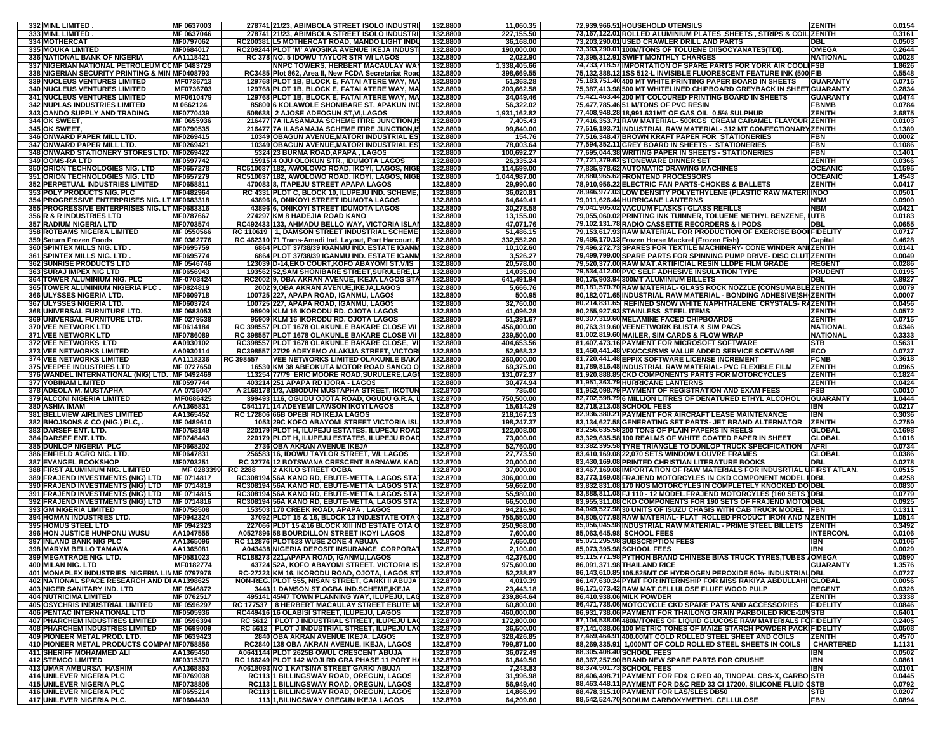| 332 MINL LIMITED                                | MF 0637003       | 278741 21/23, ABIMBOLA STREET ISOLO INDUSTRI          | 132.8800 | 11,060.35    | 72,939,966.51 HOUSEHOLD UTENSILS                                              | <b>ZENITH</b>    | 0.0154 |
|-------------------------------------------------|------------------|-------------------------------------------------------|----------|--------------|-------------------------------------------------------------------------------|------------------|--------|
| <b>333 MINL LIMITED</b>                         | MF 0637046       | 278741 21/23, ABIMBOLA STREET ISOLO INDUSTR           | 132.8800 | 227,155.50   | 73,167,122.01 ROLLED ALUMINIUM PLATES ,SHEETS , STRIPS & COIL ZENITH          |                  | 0.3161 |
|                                                 | MF0797062        | RC200381 IL5 MOTHERCAT ROAD, MANDO LIGHT INDU         |          |              | 73,203,290.01 USED CRAWLER DRILL AND PARTS                                    |                  |        |
| 334 MOTHERCAT                                   |                  |                                                       | 132.8800 | 36,168.00    |                                                                               | DBL              | 0.0503 |
| <b>335 MOUKA LIMITED</b>                        | MF0684017        | RC209244 PLOT 'M' AWOSIKA AVENUE IKEJA INDUS'         | 132.8800 | 190,000.00   | 73,393,290.01 100M/TONS OF TOLUENE DIISOCYANATES(TDI).                        | OMEGA            | 0.2644 |
| 336 NATIONAL BANK OF NIGERIA                    | AA1118421        | RC 378 NO. 5 IDOWU TAYLOR STR V/I LAGOS               | 132.8800 | 2,022.90     | 73,395,312.91 SWIFT MONTHLY CHARGES                                           | NATIONAL         | 0.0028 |
| 337 NIGERIAN NATIONAL PETROLEUM COMF 0483729    |                  | NNPC TOWERS, HERBERT MACAULAY WA                      | 132.8800 | 1,338,405.66 | 74,733,718.57 IMPORTATION OF SPARE PARTS FOR YORK AIR COOLEFSB                |                  | 1.8626 |
| 338 NIGERIAN SECURITY PRINTING & MINIMF0408793  |                  | RC3485 Plot 862, Area II, New FCDA Secretariat Roa    | 132.8800 | 398,669.55   | 75,132,388.12 1SS            512-L INVISIBLE FLUORESCENT FEATURE INK (500 FIB |                  | 0.5548 |
| <b>339 NUCLEUS VENTURES LIMITED</b>             | MF0736713        | 129768 PLOT 1B, BLOCK E, FATAI ATERE WAY, MA          | 132.8800 | 51,363.28    | 75,183,751.40 400 MT WHITE PRINTING PAPER BOARD IN SHEETS                     | <b>GUARANTY</b>  | 0.0715 |
| <b>340 NUCLEUS VENTURES LIMITED</b>             | MF0736703        | 129768 PLOT 1B, BLOCK E, FATAI ATERE WAY, MA          | 132.8800 | 203,662.58   | 75,387,413.98 500 MT WHITELINED CHIPBOARD GREYBACK IN SHEET GUARANTY          |                  | 0.2834 |
| <b>341 INUCLEUS VENTURES LIMITED</b>            | MF0610479        | 129768 PLOT 1B, BLOCK E, FATAI ATERE WAY, MA          | 132.8800 | 34,049.46    | 75,421,463.44 200 MT COLOURED PRINTING BOARD IN SHEETS                        | GUARANTY         | 0.0474 |
| <b>342 NUPLAS INDUSTRIES LIMITED</b>            | M 0662124        | 85800 6 KOLAWOLE SHONIBARE ST, APAKUN IN              | 132.8800 | 56,322.02    | 75,477,785.46 51 M/TONS OF PVC RESIN                                          | <b>FBNMB</b>     | 0.0784 |
|                                                 |                  |                                                       |          |              |                                                                               |                  |        |
| 343 OANDO SUPPLY AND TRADING                    | MF0770439        | 508638  2 AJOSE ADEOGUN ST,VI,LAGOS                   | 132.8800 | 1,931,162.82 | 77,408,948.28 18,991.631MT OF GAS OIL 0.5% SULPHUR                            | ZENITH           | 2.6875 |
| 344 OK SWEET,                                   | MF 0655936       | 216477 7A ILASAMAJA SCHEME ITIRE JUNCTION,            | 132.8800 | 7,405.43     | 77,416,353.71 RAW MATERIAL- 500KGS CREAM CARAMEL FLAVOUR ZENITH               |                  | 0.0103 |
| 345 OK SWEET                                    | MF0790535        | 216477 7A ILASAMAJA SCHEME ITIRE JUNCTION,            | 132.8800 | 99,840.00    | 77,516,193.71 INDUSTRIAL RAW MATERIAL- 312 MT CONFECTIONARY ZENITH            |                  | 0.1389 |
| 346 ONWARD PAPER MILL LTD.                      | MF0269415        | 10349 OBAGUN AVENUE, MATORI INDUSTRIAL ES             | 132.8800 | 154.76       | 77,516,348.47 BROWN KRAFT PAPER FOR STATIONERIES                              | FBN              | 0.0002 |
| 347 ONWARD PAPER MILL LTD.                      | MF0269421        | 10349 OBAGUN AVENUE, MATORI INDUSTRIAL ES             | 132.8800 | 78,003.64    | 77,594,352.11 GREY BOARD IN SHEETS - STATIONERIES                             | FBN              | 0.1086 |
| 348 ONWARD STATIONERY STORES LTD. MF0269422     |                  | 5324 23 BURMA ROAD, APAPA, LAGOS                      | 132.8800 | 100,692.27   | 77,695,044.38 WRITING PAPER IN SHEETS - STATIONERIES                          | FBN              | 0.1401 |
| <b>349 OOMS-RALTD</b>                           | <b>MF0597742</b> | 15915 4 OJU OLOKUN STR., IDUMOTA LAGOS                | 132.8800 | 26,335.24    | 77,721,379.62 STONEWARE DINNER SET                                            | ZENITH           | 0.0366 |
| 350 ORION TECHNOLOGIES NIG. LTD                 | MF0657278        | RC510037 182, AWOLOWO ROAD, IKOYI, LAGOS, NIG         | 132.8800 | 114,599.00   | 77,835,978.62 AUTOMATIC DRAWING MACHINES                                      | <b>OCEANIC</b>   | 0.1595 |
| 351 ORION TECHNOLOGIES NIG. LTD                 | MF0657279        | RC510037 182, AWOLOWO ROAD, IKOYI, LAGOS, NIG         | 132.8800 | 1,044,987.00 | 78,880,965.62 FRONTEND PROCESSORS                                             | <b>OCEANIC</b>   | 1.4543 |
| 352 PERPETUAL INDUSTRIES LIMITED                | MF0658811        | 470083 8. ITAPEJU STREET APAPA LAGOS                  | 132.8800 | 29,990.60    | 78,910,956.22 ELECTRIC FAN PARTS-CHOKES & BALLETS                             | ZENITH           | 0.0417 |
|                                                 | MF0482964        |                                                       |          |              | 78,946,977.03 LOW DENSITY POLYETHYLENE (PLASTIC RAW MATERI INDO               |                  | 0.0501 |
| <b>353 POLY PRODUCTS NIG. PLC</b>               |                  | RC 4331 PLOT C, BLOCK 10, ILUPEJU IND. SCHEME         | 132.8800 | 36,020.81    |                                                                               |                  |        |
| 354 PROGRESSIVE ENTERPRISES NIG. LTMF0683318    |                  | 43896 6, ONIKOYI STREET IDUMOTA LAGOS                 | 132.8800 | 64,649.41    | 79,011,626.44 HURRICANE LANTERNS                                              | NBM              | 0.0900 |
| 355 PROGRESSIVE ENTERPRISES NIG. LTMF0683316    |                  | 43896 6, ONIKOYI STREET IDUMOTA LAGOS                 | 132.8800 | 30,278.58    | 79,041,905.02 VACUUM FLASKS / GLASS REFILLS                                   | NBM              | 0.0421 |
| 356 R & R INDUSTRIES LTD                        | MF0787667        | 274297 KM 8 HADEJIA ROAD KANO                         | 132.8800 | 13,155.00    | 79,055,060.02 PRINTING INK TUINNER, TOLUENE METHYL BENZENE, IUTB              |                  | 0.0183 |
| <b>357 RADIUM NIGERIA LTD</b>                   | MF0703574        | RC492433 133, AHMADU BELLO WAY, VICTORIA ISLA         | 132.8800 | 47,071.76    | 79,102,131.78 RADIO CASSETTE RECORDERS & I PODS                               | DBL              | 0.0655 |
| <b>358 ROTBAMS NIGERIA LIMITED</b>              | MF 0550566       | RC 110619   1, DAMSON STREET INDUSTRIAL SCHEME        | 132.8800 | 51,486.15    | 79,153,617.93 RAW MATERIAL FOR PRODUCTION OF EXERCISE BOOI FIDELITY           |                  | 0.0717 |
| 359 Saturn Frozen Foods                         | MF 0362776       | RC 462310 71 Trans-Amadi Ind. Layout, Port Harcourt,  | 132.8800 | 332,552.20   | 79,486,170.13 Frozen Horse Mackrel (Frozen Fish)                              | Capital          | 0.4628 |
| 360 SPINTEX MILLS NIG. LTD                      | MF0695759        | 6864 PLOT 37/38/39 IGANMU IND. ESTATE IGANN           | 132.8800 | 10,102.60    | 79,496,272.73 SPARES FOR TEXTILE MACHINERY- CONE WINDER ANDZENITH             |                  | 0.0141 |
| <b>361 SPINTEX MILLS NIG. LTD</b>               | MF0695774        | 6864 PLOT 37/38/39 IGANMU IND. ESTATE IGANN           | 132.8800 | 3,526.27     | 79,499,799.00 SPARE PARTS FOR SPINNING PUMP DRIVE- DISC CLUT ZENITH           |                  | 0.0049 |
|                                                 |                  |                                                       |          |              |                                                                               |                  |        |
| <b>362 SUNRISE PRODUCTS LTD</b>                 | MF 0546746       | 123039 D-14, EKO COURT, KOFO ABAYOMI ST.V/IS          | 132.8800 | 20,578.00    | 79,520,377.00 RAW MAT.ARTIFICIAL RESIN LLDPE FILM GRADE                       | <b>REGENT</b>    | 0.0286 |
| <b>363 SURAJ IMPEX NIG LTD</b>                  | MF0656943        | <u>193562 52,SAM SHONIBARE STREET,SURULERE,L</u>      | 132.8800 | 14,035.00    | 79,534,412.00 PVC SELF ADHESIVE INSULATION TYPE                               | PRUDENT          | 0.0195 |
| 364 TOWER ALUMINIUM NIG. PLC                    | MF-0703424       | RC2002 9, OBA AKRAN AVENUE, IKEJA LAGOS STA           | 132.8800 | 641,491.94   | 80,175,903.94 300MT ALUMINIUM BILLETS                                         | DBL              | 0.8927 |
| 365 TOWER ALUMINIUM NIGERIA PLC.                | MF0824819        | 2002 9.OBA AKRAN AVENUE, IKEJA, LAGOS                 | 132.8800 | 5,666.76     | 80,181,570.70 RAW MATERIAL- GLASS ROCK NOZZLE (CONSUMABLE ZENITH              |                  | 0.0079 |
| <b>366 ULYSSES NIGERIA LTD.</b>                 | MF0609718        | 100725 227, APAPA ROAD, IGANMU, LAGOS                 | 132.8800 | 500.95       | 80,182,071.65 INDUSTRIAL RAW MATERIAL - BONDING ADHESIVE (SHIZENITH           |                  | 0.0007 |
| <b>367 ULYSSES NIGERIA LTD.</b>                 | MF0603724        | 100725 227, APAPA ROAD, IGANMU, LAGOS                 | 132.8800 | 32,760.00    | 80,214,831.65 REFINED SNOW WHITE NAPHTHALENE CRYSTALS- RAZENITH               |                  | 0.0456 |
| <u>368 UNIVERSAL FURNITURE LTD.</u>             | MF 0683053       | 95909 KLM 16 IKORODU RD. OJOTA LAGOS                  | 132.8800 | 41,096.28    | 80,255,927.93 STAINLESS STEEL ITEMS                                           | ZENITH           | 0.0572 |
| 369 UNIVERSAL FURNITURE LTD.                    | MF 0279538       | 95909 KLM 16 IKORODU RD, OJOTA LAGOS                  | 132.8800 | 51,391.67    | 80,307,319.60 MELAMINE FACED CHIPBOARDS                                       | ZENITH           | 0.0715 |
| 370 VEE NETWORK LTD                             | MF0614184        | RC 398557 PLOT 1678 OLAKUNLE BAKARE CLOSE V/I         | 132.8800 | 456,000.00   | 80,763,319.60 VEENETWORK BLISTA & SIM PACS                                    | <b>NATIONAL</b>  | 0.6346 |
| <b>371 VEE NETWORK LTD</b>                      |                  | RC 398557 PLOT 1678 OLAKUNLE BAKARE CLOSE V/I         | 132.8800 |              | 81,002,819.60 MAILER, SIM CARDS & FLOW WRAP                                   | <b>NATIONAL</b>  | 0.3333 |
|                                                 | MF0786089        |                                                       |          | 239,500.00   |                                                                               |                  |        |
| 372 VEE NETWORKS LTD                            | AA0930102        | RC398557 PLOT 1678 OLAKUNLE BAKARE CLOSE, V           | 132.8800 | 404,653.56   | 81,407,473.16 PAYMENT FOR MICROSOFT SOFTWARE                                  | STB              | 0.5631 |
| <b>373 VEE NETWORKS LIMITED</b>                 | AA0930114        | RC398557 27/29 ADEYEMO ALAKIJA STREET, VICTOR         | 132.8800 | 52,968.32    | 81,460,441.48 VFX/CCS/SMS VALUE ADDED SERVICE SOFTWARE                        | ECO              | 0.0737 |
| <b>374 VEE NETWORKS LIMITED</b>                 | AA1118236        | <b>VEE NETWORKS LIMITED OLAKUNLE BAK</b><br>RC 398557 | 132.8800 | 260,000.00   | 81,720,441.48 EPPIX SOFTWARE LICENSE INCREMENT                                | FCMB             | 0.3618 |
| 375 VEEPEE INDUSTRIES LTD                       | MF 0727650       | 16530 KM 38 ABEOKUTA MOTOR ROAD SANGO O               | 132.8800 | 69,375.00    | 81,789,816.48 INDUSTRIAL RAW MATERIAL- PVC FLEXIBLE FILM                      | ZENITH           | 0.0965 |
| 376 WANDEL INTERNATIONAL (NIG) LTD. IMF 0492469 |                  | 113254 77/79 ERIC MOORE ROAD, SURULERE, LAG           | 132.8800 | 131,072.37   | 81,920,888.85 CKD COMPONENTS PARTS FOR MOTORCYCLES                            | ZENITH           | 0.1824 |
| <b>377 YOBINAM LIMITED</b>                      | MF0597744        | 403214 251 APAPA RD IJORA - LAGOS                     | 132.8800 | 30,474.94    | 81,951,363.79 HURRICANE LANTERNS                                              | ZENITH           | 0.0424 |
| <b>378 ADEOLA M. MUSTAPHA</b>                   | AA 0735047       | A 2168178 1/3, ABIODUN MUSTAPHA STREET, IKOTU         | 132.8700 | 735.00       | 81,952,098.79 PAYMENT OF REGISTRATION AND EXAM FEES                           | FSB              | 0.0010 |
| <b>379 ALCONI NIGERIA LIMITED</b>               | MF0686425        | 399493 116, OGUDU OJOTA ROAD, OGUDU G.R.A.            | 132.8700 | 750,500.00   | 82,702,598.79 6 MILLION LITRES OF DENATURED ETHYL ALCOHOL                     | <b>GUARANTY</b>  | 1.0444 |
| 380 ASHIA IMAM                                  | AA1365831        | C541171 14 ADEYEMI LAWSON IKOYI LAGOS                 | 132.8700 | 15,614.29    | 82,718,213.08 SCHOOL FEES                                                     | IBN              | 0.0217 |
| <b>381 BELLVIEW AIRLINES LIMITED</b>            | AA1365452        | RC 172806 66B OPEBI RD IKEJA LAGOS                    | 132.8700 |              | 82,936,380.21 PAYMENT FOR AIRCRAFT LEASE MAINTENANCE                          | IBN              | 0.3036 |
|                                                 |                  |                                                       |          | 218,167.13   |                                                                               |                  |        |
| 382 BHOJSONS & CO (NIG.) PLC,                   | MF 0489610       | 1053 29C KOFO ABAYOMI STREET VICTORIA IS              | 132.8700 | 198,247.37   | 83,134,627.58 GENERATING SET PARTS- JET BRAND ALTERNATOR                      | <b>ZENITH</b>    | 0.2759 |
| 383 DARSEF ENT. LTD                             | MF0758149        | <u>220179 PLOT H, ILUPEJU ESTATES, ILUPEJU ROAI</u>   | 132.8700 | 122,008.00   | 83,256,635.58 200 TONS OF PLAIN PAPERS IN REELS                               | <b>GLOBAL</b>    | 0.1698 |
| 384 DARSEF ENT. LTD.                            | MF0748443        | 220179 PLOT H, ILUPEJU ESTATES, ILUPEJU ROAD          | 132.8700 | 73.000.00    | 83,329,635.58 100 REALMS OF WHITE COATED PAPER IN SHEET                       | <b>GLOBAL</b>    | 0.1016 |
| 385 DUNLOP NIGERIA PLC                          | MF0668202        | 2736 OBA AKRAN AVENUE IKEJA                           | 132.8700 | 52,760.00    | 83,382,395.58 TYRE TRIANGLE TO DUNLOP TRUCK SPECIFICATION                     | <b>AFRI</b>      | 0.0734 |
| 386 ENFIELD AGRO NIG. LTD.                      | MF0647831        | 256583 16, IDOWU TAYLOR STREET, V/I, LAGOS            | 132.8700 | 27,773.50    | 83,410,169.08 22,070 SETS WINDOW LOUVRE FRAMES                                | GLOBAL           | 0.0386 |
| 387 EVANGEL BOOKSHOP                            | MF0703251        | RC 32776 12 BOTSWANA CRESCENT BARNAWA KAD             | 132.8700 | 20,000.00    | 83,430,169.08 PRINTED CHRISTIAN LITERATURE BOOKS                              | DBL              | 0.0278 |
| 388 FIRST ALUMINIUM NIG. LIMITED                | MF 0283399       | <b>RC 2288</b><br><u> 2 AKILO STREET OGBA</u>         | 132.8700 | 37,000.00    | 83,467,169.08 IMPORTATION OF RAW MATERIALS FOR INDUSRTIAL UFIRST ATLAN.       |                  | 0.0515 |
| <b>389 FRAJEND INVESTMENTS (NIG) LTD</b>        | MF 0714817       | RC308194 56A KANO RD, EBUTE-METTA, LAGOS STA          | 132.8700 | 306,000.00   | 83,773,169.08 FRAJEND MOTORCYLES IN CKD COMPONENT MODEL FIDBL                 |                  | 0.4258 |
| 390 FRAJEND INVESTMENTS (NIG) LTD               | MF 0714819       | RC308194 56A KANO RD, EBUTE-METTA, LAGOS STA          | 132.8700 | 59,662.00    | 83,832,831.08 170 NOS MOTORCYLES IN COMPLETELY KNOCKED DO DBL                 |                  | 0.0830 |
| <b>391 FRAJEND INVESTMENTS (NIG) LTD</b>        | MF 0714815       | RC308194 56A KANO RD, EBUTE-METTA, LAGOS STA          | 132.8700 | 55,980.00    | 83,888,811.08 FJ 110 - 12 MODEL FRAJEND MOTORCYLES (160 SETS ) DBL            |                  | 0.0779 |
| <b>392 FRAJEND INVESTMENTS (NIG) LTD</b>        | MF 0714816       | RC308194 56A KANO RD, EBUTE-METTA, LAGOS STA          | 132.8700 | 66,500.00    | 83,955,311.08 CKD COMPONENTS FOR 190 SETS OF FRAJEND MOTORDBL                 |                  | 0.0925 |
|                                                 |                  |                                                       |          |              |                                                                               |                  |        |
| <b>393 GM NIGERIA LIMITED</b>                   | <b>MF0758508</b> | 153503 170 CREEK ROAD, APAPA , LAGOS                  | 132.8700 | 94,216.90    | 84,049,527.98 30 UNITS OF ISUZU CHASIS WITH CAB TRUCK MODEL FBN               |                  | 0.1311 |
| 394 HOMAN INDUSTRIES LTD.                       | MF0942324        | 37092 PLOT 15 & 16, BLOCK 13 IND.ESTATE OTA           | 132.8700 | 755,550.00   | 84,805,077.98 RAW MATERIAL- FLAT ROLLED PRODUCT IRON AND N ZENITH             |                  | 1.0514 |
| 395 HOMUS STEEL LTD                             | MF 0942323       | 227066 PL0T 15 & 16 BLOCK XIII IND ESTATE OTA O       | 132.8700 | 250,968.00   | 85,056,045.98 INDUSTRIAL RAW MATERIAL - PRIME STEEL BILLETS   ZENITH          |                  | 0.3492 |
| 396 HON JUSTICE HUNPONU WUSU                    | AA1047555        | A0527896 58 BOURDILLON STREET IKOYI LAGOS             | 132.8700 | 7,600.00     | 85,063,645.98 SCHOOL FEES                                                     | INTERCON.        | 0.0106 |
| <b>397 INLAND BANK NIG PLC</b>                  | AA1365096        | RC 112876 PLOT523 WUSE ZONE 4 ABUJA                   | 132.8700 | 7,650.00     | 85,071,295.98 SUBSCRIPTION FEES                                               | <b>IBN</b>       | 0.0106 |
| <b>398 MARYM BELLO TAMAWA</b>                   | AA1365081        | A043438 NIGERIA DEPOSIT INSURANCE CORPORA             | 132.8700 | 2,100.00     | 85,073,395.98 SCHOOL FEES                                                     | IBN              | 0.0029 |
| 399 MEGATRADE NIG. LTD.                         | MF0581023        | RC188273 221, APAPA ROAD, IGANMU, LAGOS               | 132.8700 | 42,376.00    | 85,115,771.98 PYTHON BRAND CHINESE BIAS TRUCK TYRES, TUBES / OMEGA            |                  | 0.0590 |
| 400 MILAN NIG. LTD                              | MF0182774        | 43724 52A, KOFO ABAYOMI STREET, VICTORIA IS           | 132.8700 | 975,600.00   | 86,091,371.98 THAILAND RICE                                                   | GUARANTY         | 1.3576 |
| 401 MONAPLEX INDUSTRIES NIGERIA LIMMF 0797976   |                  | RC-27223 KM 16, IKORODU ROAD, OJOTA, LAGOS ST         | 132.8700 | 52,238.87    | 86,143,610.85 105.525MT OF HYDROGEN PEROXIDE 50%- INDUSTRIAL DBL              |                  | 0.0727 |
| 402 NATIONAL SPACE RESEARCH AND DIAA1398625     |                  | NON-REG. PLOT 555, NISAN STREET, GARKI II ABUJA       | 132.8700 | 4,019.39     | 86,147,630.24 PYMT FOR INTERNSHIP FOR MISS RAKIYA ABDULLAHI                   | <b>GLOBAL</b>    | 0.0056 |
| <b>403 NIGER SANITARY IND. LTD</b>              | MF 0546872       | 3443 1 DAMSON ST.OGBA IND.SCHEME, IKEJA               | 132.8700 | 23,443.18    | 86,171,073.42 RAW MAT.CELLULOSE FLUFF WOOD PULP                               | <b>REGENT</b>    | 0.0326 |
| <b>404 INUTRICIMA LIMITED</b>                   | MF 0762517       | 495141 45/47 TOWN PLANNING WAY, ILUPEJU, LAG          | 132.8700 | 239,864.64   | 86,410,938.06 MILK POWDER                                                     | ZENITH           | 0.3338 |
|                                                 |                  |                                                       |          |              |                                                                               |                  |        |
| <b>405 OSYCHRIS INDUSTRIAL LIMITED</b>          | MF 0596297       | RC 177537   8 HERBERT MACAULAY STREET EBUTE M         | 132.8700 | 60,800.00    | 86,471,738.06 MOTOCYCLE CKD SPARE PATS AND ACCESSORIES                        | <b>FIDELITY</b>  | 0.0846 |
| <b>406 PENTAC INTERNATIONAL LTD</b>             | MF0505936        | RC449416 16 OLABISI STREET, ILUPEJU, LAGOS            | 132.8700 | 460,000.00   | 86,931,738.06 PAYMENT FOR THAILONG GRAIN PARBOILED RICE-10% STB               |                  | 0.6401 |
| <b>407 PHARCHEM INDUSTRIES LIMITED</b>          | MF 0596394       | RC 5612   PLOT J INDUSTRIAL STREET, ILUPEJU LA        | 132.8700 | 172,800.00   | 87,104,538.06 480 M/TONES OF LIQUID GLUCOSE RAW MATERIALS FOFIDELITY          |                  | 0.2405 |
| <b>408 PHARCHEM INDUSTRIES LIMITED</b>          | MF 0699009       | RC 5612 PLOT J INDUSTRIAL STREET, ILUPEJU LA          | 132.8700 | 36,500.00    | 87,141,038.06 100 METRIC TONES OF MAIZE STARCH POWDER PACK FIDELITY           |                  | 0.0508 |
| 409 PIONEER METAL PROD. LTD.                    | MF 0639423       | 2840 OBA AKRAN AVENUE IKEJA. LAGOS                    | 132.8700 | 328,426.85   | 87,469,464.91 400.00MT COLD ROLLED STEEL SHEET AND COILS                      | <b>ZENITH</b>    | 0.4570 |
| 410 PIONEER METAL PRODUCTS COMPANMF0758856      |                  | RC2840 138 OBA AKRAN AVENUE, IKEJA, LAGOS             | 132.8700 | 799,871.00   | 88,269,335.91 1.000MT OF COLD ROLLED STEEL SHEETS IN COILS                    | <b>CHARTERED</b> | 1.1131 |
| <b>411 SHERIFF MOHAMMED ALI</b>                 | AA1365450        | A0641144 PLOT 2625B OWUL CRESCENT ABUJA               | 132.8700 | 36,072.49    | 88,305,408.40 SCHOOL FEES                                                     | IBN              | 0.0502 |
| <b>412 STEMCO LIMITED</b>                       | MF0315370        | RC 166249 PLOT 142 WOJI RD GRA PHASE 11 PORT H        | 132.8700 | 61,849.50    | 88,367,257.90 BRAND NEW SPARE PARTS FOR CRUSHE                                | IBN              | 0.0861 |
| <b>413 UMAR AMBURSA HASHIM</b>                  | AA1368853        | A0618093 NO 1 KATSINA STREET GARKI ABUJA              | 132.8700 | 7,243.83     | 88,374,501.73 SCHOOL FEES                                                     | <b>IBN</b>       | 0.0101 |
| <b>414 UNILEVER NIGERIA PLC</b>                 | MF0769038        | RC113 1 BILLINGSWAY ROAD, OREGUN, LAGOS               | 132.8700 | 31,996.98    | 88,406,498.71 PAYMENT FOR FD& C RED 40, TINOPAL CBS-X, CARBOISTB              |                  | 0.0445 |
| <b>415 UNILEVER NIGERIA PLC</b>                 | MF0738805        | RC11311 BILLINGSWAY ROAD, OREGUN, LAGOS               | 132.8700 | 56,949.40    | 88,463,448.11 PAYMENT FOR D&C RED 33 CI 17200, SILICONE FLUID GSTB            |                  | 0.0792 |
| <b>416 UNILEVER NIGERIA PLC</b>                 | MF0655214        | RC113 1 BILLINGSWAY ROAD, OREGUN, LAGOS               | 132.8700 | 14,866.99    | 88,478,315.10 PAYMENT FOR LAS/SLES DB50                                       | STB              | 0.0207 |
|                                                 |                  |                                                       |          |              |                                                                               |                  |        |
| 417 UNILEVER NIGERIA PLC.                       | MF0604439        | 113 1,BILINGSWAY OREGUN IKEJA LAGOS                   | 132.8700 | 64,209.60    | 88,542,524.70 SODIUM CARBOXYMETHYL CELLULOSE                                  | <b>FBN</b>       | 0.0894 |